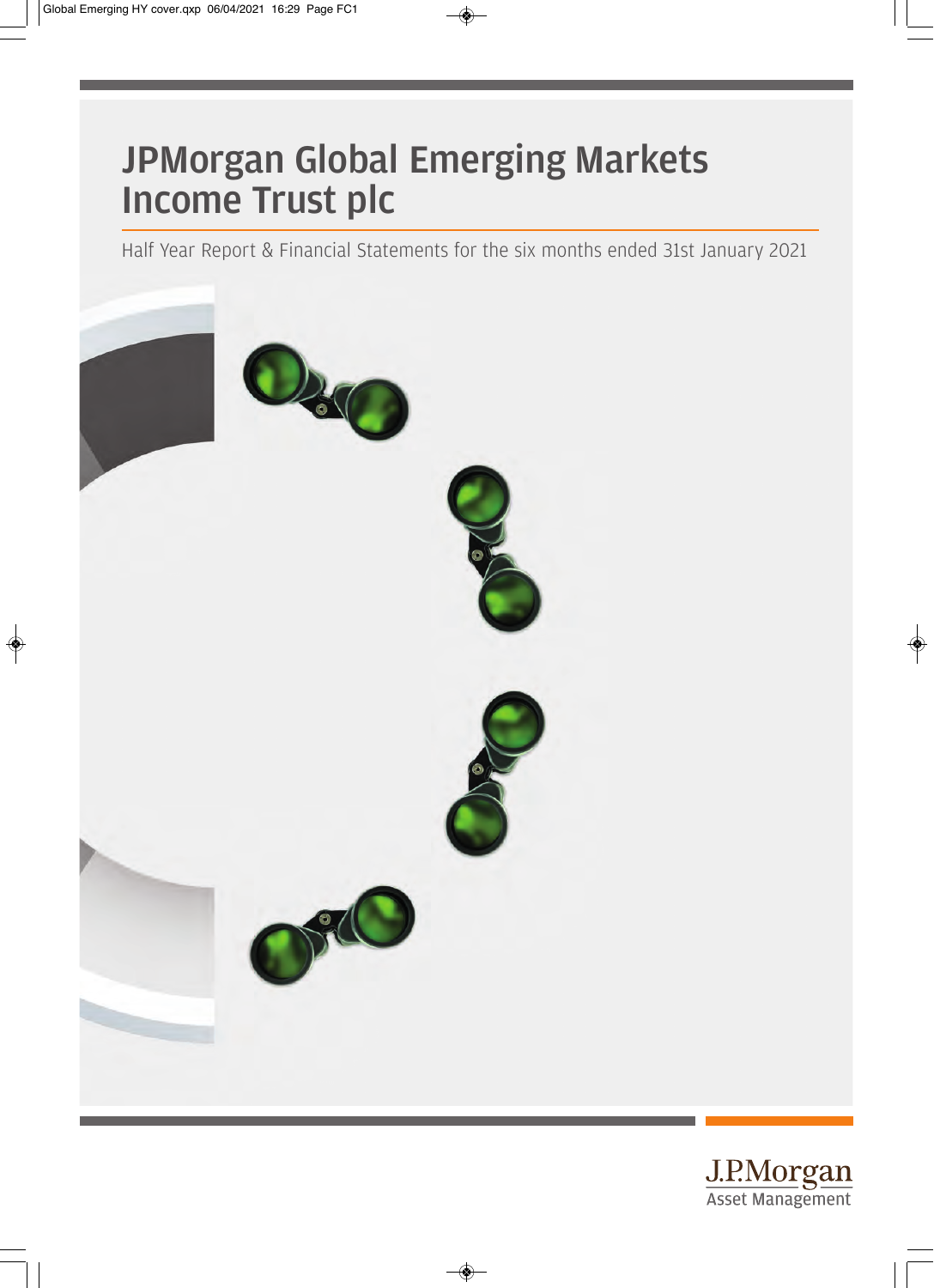# JPMorgan Global Emerging Markets Income Trust plc

Half Year Report & Financial Statements for the six months ended 31st January 2021



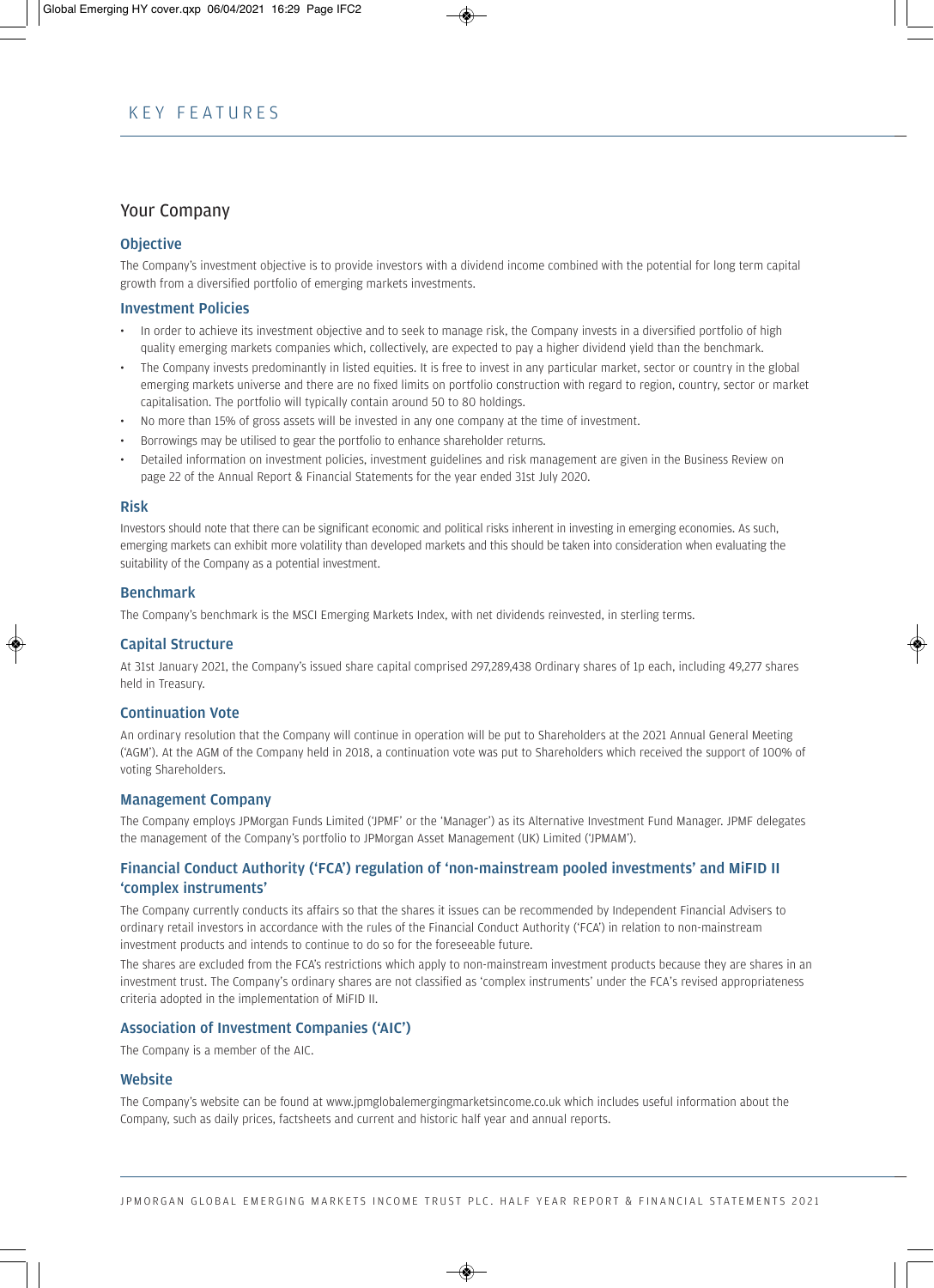# Your Company

### **Objective**

The Company's investment objective is to provide investors with a dividend income combined with the potential for long term capital growth from a diversified portfolio of emerging markets investments.

#### Investment Policies

- In order to achieve its investment objective and to seek to manage risk, the Company invests in a diversified portfolio of high quality emerging markets companies which, collectively, are expected to pay a higher dividend yield than the benchmark.
- The Company invests predominantly in listed equities. It is free to invest in any particular market, sector or country in the global emerging markets universe and there are no fixed limits on portfolio construction with regard to region, country, sector or market capitalisation. The portfolio will typically contain around 50 to 80 holdings.
- No more than 15% of gross assets will be invested in any one company at the time of investment.
- Borrowings may be utilised to gear the portfolio to enhance shareholder returns.
- Detailed information on investment policies, investment guidelines and risk management are given in the Business Review on page 22 of the Annual Report & Financial Statements for the year ended 31st July 2020.

#### Risk

Investors should note that there can be significant economic and political risks inherent in investing in emerging economies. As such, emerging markets can exhibit more volatility than developed markets and this should be taken into consideration when evaluating the suitability of the Company as a potential investment.

#### Benchmark

The Company's benchmark is the MSCI Emerging Markets Index, with net dividends reinvested, in sterling terms.

#### Capital Structure

At 31st January 2021, the Company's issued share capital comprised 297,289,438 Ordinary shares of 1p each, including 49,277 shares held in Treasury.

#### Continuation Vote

An ordinary resolution that the Company will continue in operation will be put to Shareholders at the 2021 Annual General Meeting ('AGM'). At the AGM of the Company held in 2018, a continuation vote was put to Shareholders which received the support of 100% of voting Shareholders.

#### Management Company

The Company employs JPMorgan Funds Limited ('JPMF' or the 'Manager') as its Alternative Investment Fund Manager. JPMF delegates the management of the Company's portfolio to JPMorgan Asset Management (UK) Limited ('JPMAM').

# Financial Conduct Authority ('FCA') regulation of 'non-mainstream pooled investments' and MiFID II 'complex instruments'

The Company currently conducts its affairs so that the shares it issues can be recommended by Independent Financial Advisers to ordinary retail investors in accordance with the rules of the Financial Conduct Authority ('FCA') in relation to non-mainstream investment products and intends to continue to do so for the foreseeable future.

The shares are excluded from the FCA's restrictions which apply to non-mainstream investment products because they are shares in an investment trust. The Company's ordinary shares are not classified as 'complex instruments' under the FCA's revised appropriateness criteria adopted in the implementation of MiFID II.

#### Association of Investment Companies ('AIC')

The Company is a member of the AIC.

#### **Website**

The Company's website can be found at www.jpmglobalemergingmarketsincome.co.uk which includes useful information about the Company, such as daily prices, factsheets and current and historic half year and annual reports.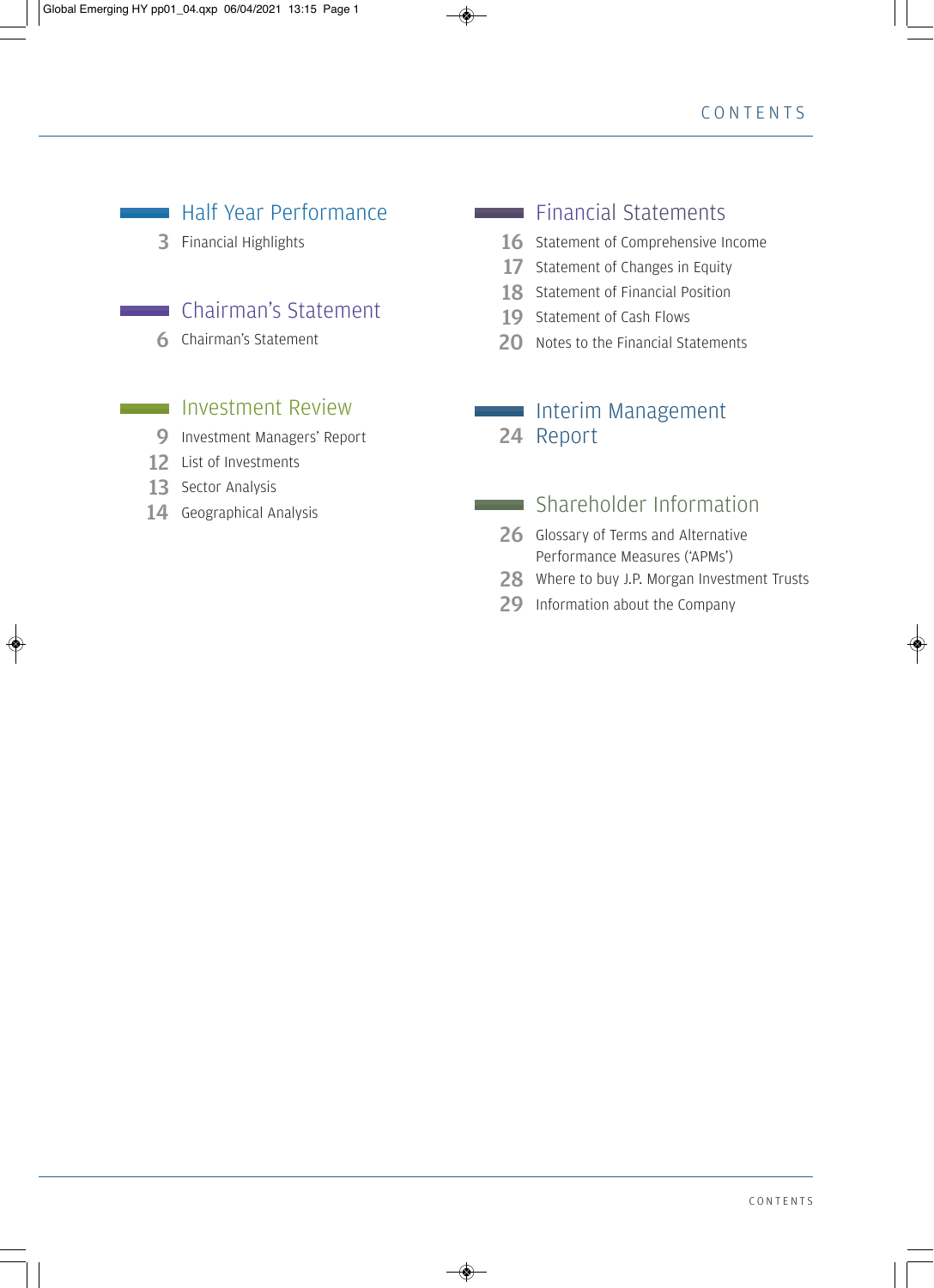# **Half Year Performance**

3 Financial Highlights

# **Chairman's Statement**

6 Chairman's Statement

# **Investment Review**

- 9 Investment Managers' Report
- 12 List of Investments
- 13 Sector Analysis
- 14 Geographical Analysis

# **Financial Statements**

- 16 Statement of Comprehensive Income
- 17 Statement of Changes in Equity
- 18 Statement of Financial Position
- 19 Statement of Cash Flows
- 20 Notes to the Financial Statements

# **Interim Management** 24 Report

# **Shareholder Information**

- 26 Glossary of Terms and Alternative Performance Measures ('APMs')
- 28 Where to buy J.P. Morgan Investment Trusts
- 29 Information about the Company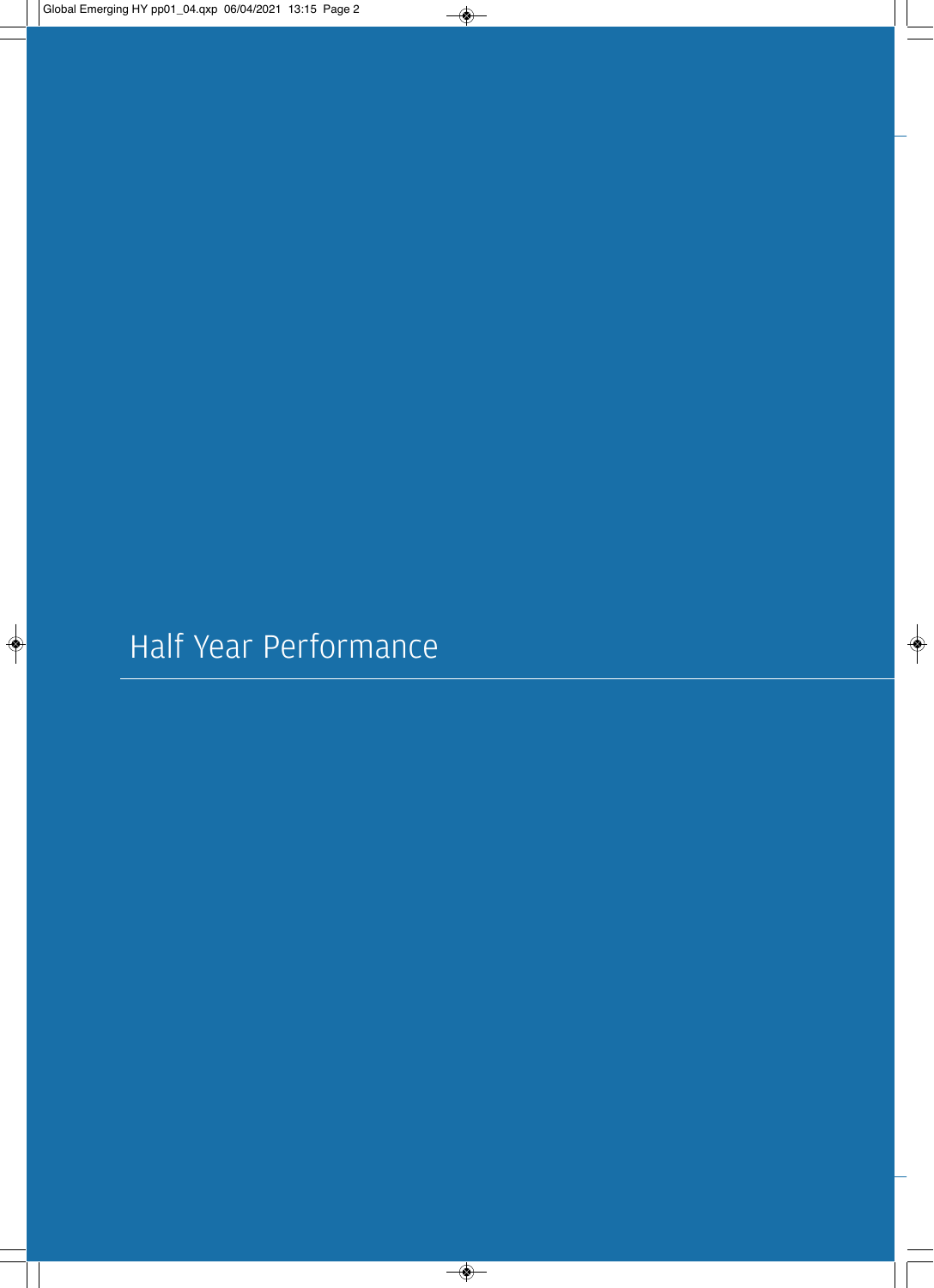Half Year Performance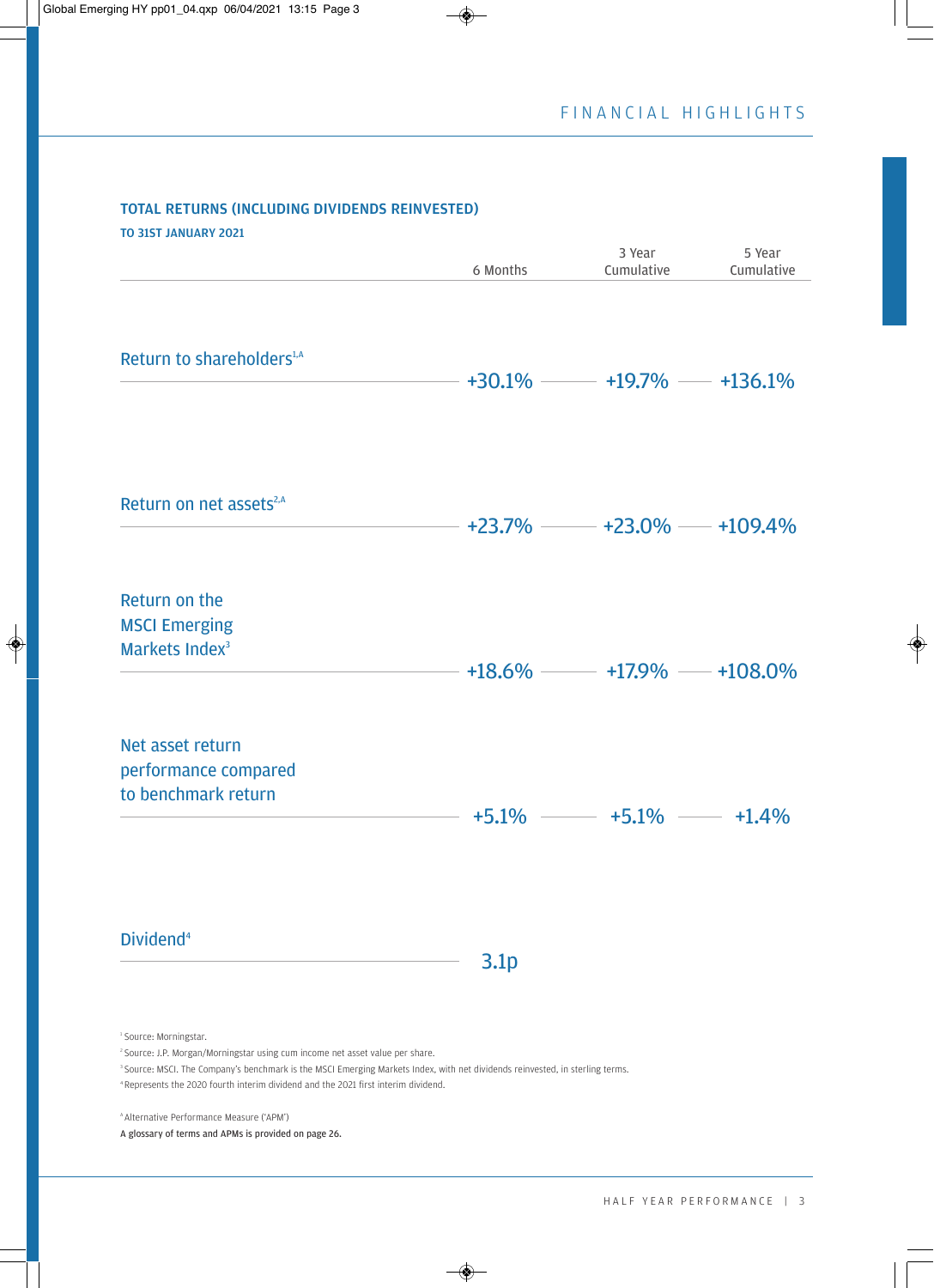# TOTAL RETURNS (INCLUDING DIVIDENDS REINVESTED)

| <b>TO 31ST JANUARY 2021</b>                                                                                            |                  |                                  |                      |
|------------------------------------------------------------------------------------------------------------------------|------------------|----------------------------------|----------------------|
|                                                                                                                        | 6 Months         | 3 Year<br>Cumulative             | 5 Year<br>Cumulative |
| Return to shareholders <sup>1,4</sup>                                                                                  |                  | $+30.1\%$ $- 19.7\%$ $- 136.1\%$ |                      |
| Return on net assets <sup>2,A</sup>                                                                                    |                  | $+23.7\%$ $ +23.0\%$ $ +109.4\%$ |                      |
| Return on the<br><b>MSCI Emerging</b><br>Markets Index <sup>3</sup>                                                    |                  | $+18.6\%$ $-17.9\%$ $-108.0\%$   |                      |
| Net asset return<br>performance compared<br>to benchmark return                                                        | $+5.1\%$         | $+5.1\%$                         | $+1.4%$              |
| Dividend <sup>4</sup>                                                                                                  | 3.1 <sub>p</sub> |                                  |                      |
| <sup>1</sup> Source: Morningstar.<br><sup>2</sup> Course, LD, Morgan (Morningstar using sum insome not asset value per |                  |                                  |                      |

<sup>2</sup> Source: J.P. Morgan/Morningstar using cum income net asset value per share.

<sup>3</sup> Source: MSCI. The Company's benchmark is the MSCI Emerging Markets Index, with net dividends reinvested, in sterling terms.

<sup>4</sup> Represents the 2020 fourth interim dividend and the 2021 first interim dividend.

<sup>A</sup> Alternative Performance Measure ('APM')

A glossary of terms and APMs is provided on page 26.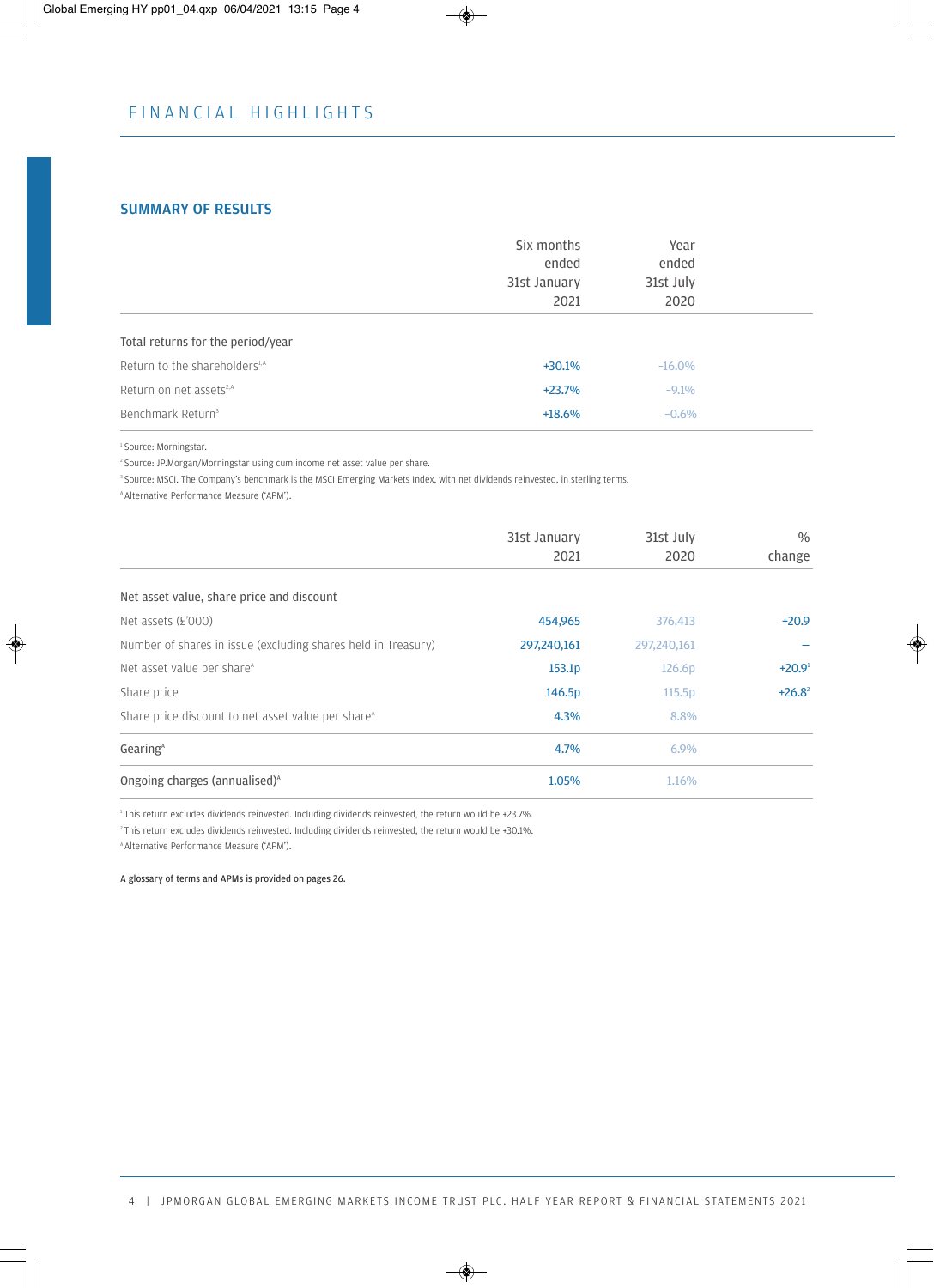# SUMMARY OF RESULTS

|                                           | Six months<br>ended<br>31st January<br>2021 | Year<br>ended<br>31st July<br>2020 |  |
|-------------------------------------------|---------------------------------------------|------------------------------------|--|
| Total returns for the period/year         |                                             |                                    |  |
| Return to the shareholders <sup>1,A</sup> | $+30.1%$                                    | $-16.0\%$                          |  |
| Return on net assets <sup>2,A</sup>       | $+23.7%$                                    | $-9.1%$                            |  |
| Benchmark Return <sup>3</sup>             | $+18.6%$                                    | $-0.6%$                            |  |

<sup>1</sup> Source: Morningstar.

<sup>2</sup> Source: JP.Morgan/Morningstar using cum income net asset value per share.

<sup>3</sup> Source: MSCI. The Company's benchmark is the MSCI Emerging Markets Index, with net dividends reinvested, in sterling terms.

<sup>A</sup> Alternative Performance Measure ('APM').

|                                                                | 31st January<br>2021 | 31st July<br>2020 | $\%$<br>change |
|----------------------------------------------------------------|----------------------|-------------------|----------------|
| Net asset value, share price and discount                      |                      |                   |                |
| Net assets $(\text{\pounds}^2000)$                             | 454,965              | 376,413           | $+20.9$        |
| Number of shares in issue (excluding shares held in Treasury)  | 297,240,161          | 297,240,161       |                |
| Net asset value per share <sup>A</sup>                         | 153.1p               | 126.6p            | $+20.91$       |
| Share price                                                    | 146.5p               | 115.5p            | $+26.8^2$      |
| Share price discount to net asset value per share <sup>A</sup> | 4.3%                 | 8.8%              |                |
| Gearing <sup>A</sup>                                           | 4.7%                 | $6.9\%$           |                |
| Ongoing charges (annualised) <sup>^</sup>                      | 1.05%                | 1.16%             |                |

<sup>1</sup> This return excludes dividends reinvested. Including dividends reinvested, the return would be +23.7%.

<sup>2</sup> This return excludes dividends reinvested. Including dividends reinvested, the return would be +30.1%.

<sup>A</sup> Alternative Performance Measure ('APM').

A glossary of terms and APMs is provided on pages 26.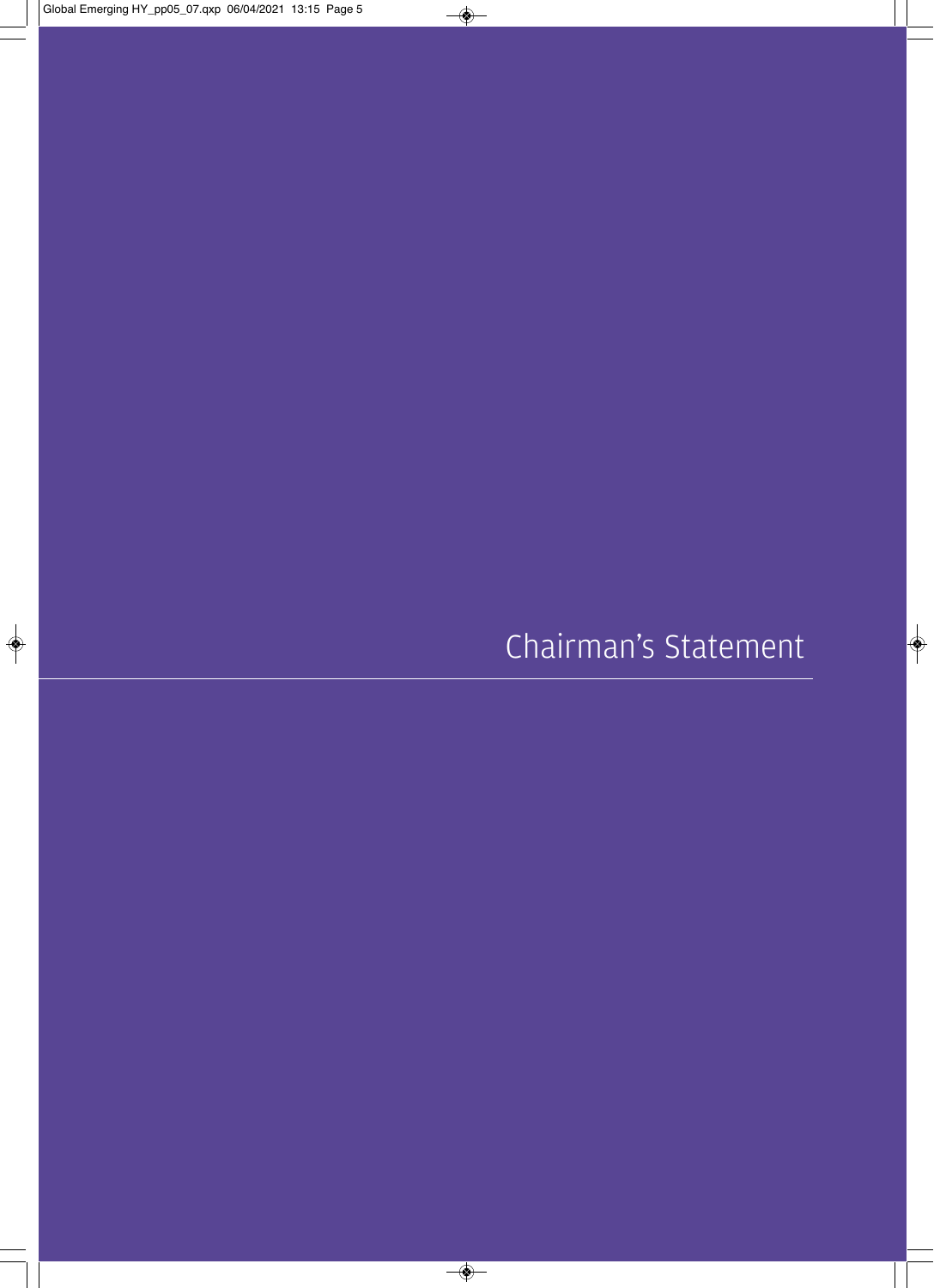Chairman's Statement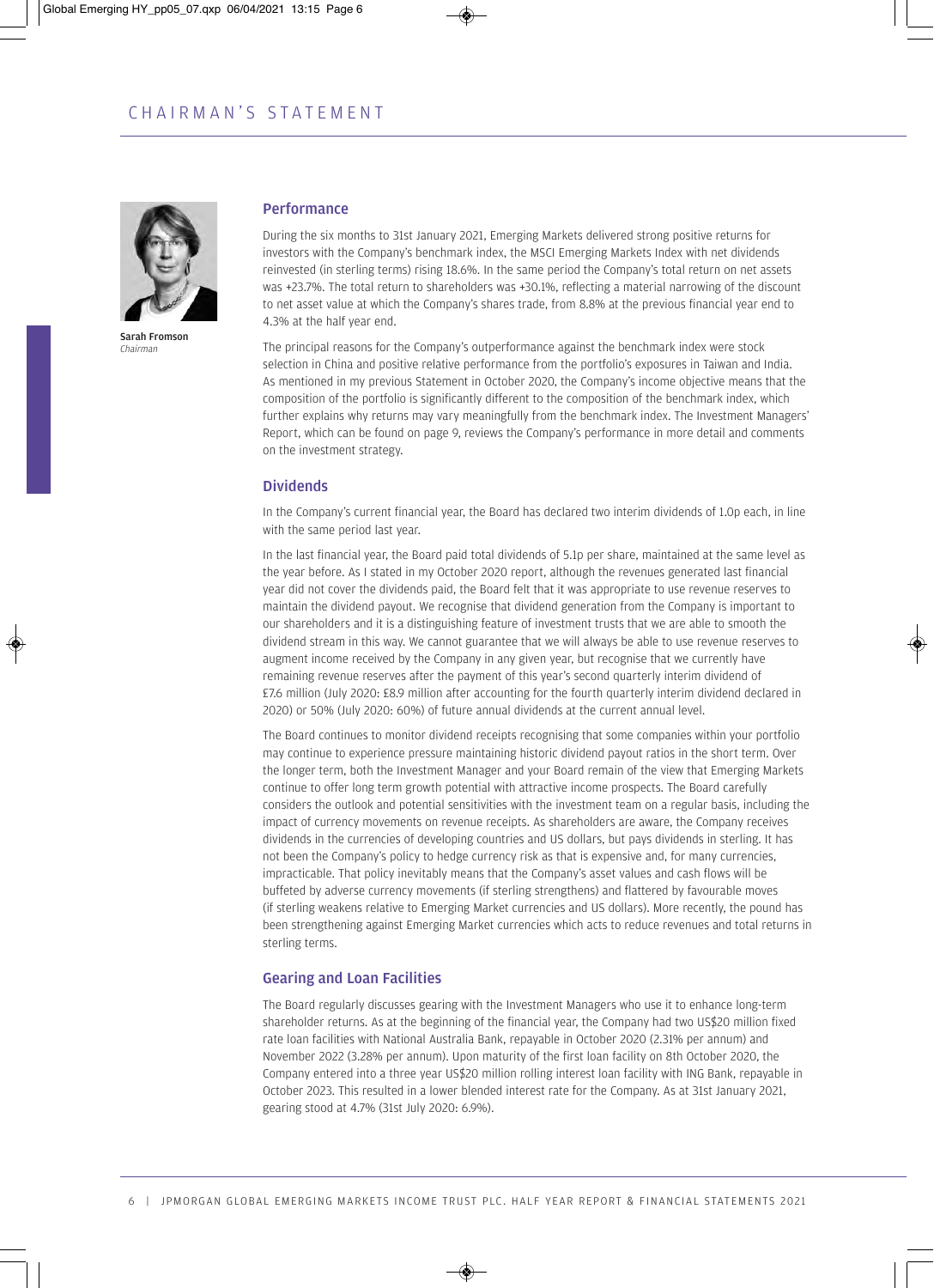

Sarah Fromson *Chairman*

# Performance

During the six months to 31st January 2021, Emerging Markets delivered strong positive returns for investors with the Company's benchmark index, the MSCI Emerging Markets Index with net dividends reinvested (in sterling terms) rising 18.6%. In the same period the Company's total return on net assets was +23.7%. The total return to shareholders was +30.1%, reflecting a material narrowing of the discount to net asset value at which the Company's shares trade, from 8.8% at the previous financial year end to 4.3% at the half year end.

The principal reasons for the Company's outperformance against the benchmark index were stock selection in China and positive relative performance from the portfolio's exposures in Taiwan and India. As mentioned in my previous Statement in October 2020, the Company's income objective means that the composition of the portfolio is significantly different to the composition of the benchmark index, which further explains why returns may vary meaningfully from the benchmark index. The Investment Managers' Report, which can be found on page 9, reviews the Company's performance in more detail and comments on the investment strategy.

### Dividends

In the Company's current financial year, the Board has declared two interim dividends of 1.0p each, in line with the same period last year.

In the last financial year, the Board paid total dividends of 5.1p per share, maintained at the same level as the year before. As I stated in my October 2020 report, although the revenues generated last financial year did not cover the dividends paid, the Board felt that it was appropriate to use revenue reserves to maintain the dividend payout. We recognise that dividend generation from the Company is important to our shareholders and it is a distinguishing feature of investment trusts that we are able to smooth the dividend stream in this way. We cannot guarantee that we will always be able to use revenue reserves to augment income received by the Company in any given year, but recognise that we currently have remaining revenue reserves after the payment of this year's second quarterly interim dividend of £7.6 million (July 2020: £8.9 million after accounting for the fourth quarterly interim dividend declared in 2020) or 50% (July 2020: 60%) of future annual dividends at the current annual level.

The Board continues to monitor dividend receipts recognising that some companies within your portfolio may continue to experience pressure maintaining historic dividend payout ratios in the short term. Over the longer term, both the Investment Manager and your Board remain of the view that Emerging Markets continue to offer long term growth potential with attractive income prospects. The Board carefully considers the outlook and potential sensitivities with the investment team on a regular basis, including the impact of currency movements on revenue receipts. As shareholders are aware, the Company receives dividends in the currencies of developing countries and US dollars, but pays dividends in sterling. It has not been the Company's policy to hedge currency risk as that is expensive and, for many currencies, impracticable. That policy inevitably means that the Company's asset values and cash flows will be buffeted by adverse currency movements (if sterling strengthens) and flattered by favourable moves (if sterling weakens relative to Emerging Market currencies and US dollars). More recently, the pound has been strengthening against Emerging Market currencies which acts to reduce revenues and total returns in sterling terms.

#### Gearing and Loan Facilities

The Board regularly discusses gearing with the Investment Managers who use it to enhance long-term shareholder returns. As at the beginning of the financial year, the Company had two US\$20 million fixed rate loan facilities with National Australia Bank, repayable in October 2020 (2.31% per annum) and November 2022 (3.28% per annum). Upon maturity of the first loan facility on 8th October 2020, the Company entered into a three year US\$20 million rolling interest loan facility with ING Bank, repayable in October 2023. This resulted in a lower blended interest rate for the Company. As at 31st January 2021, gearing stood at 4.7% (31st July 2020: 6.9%).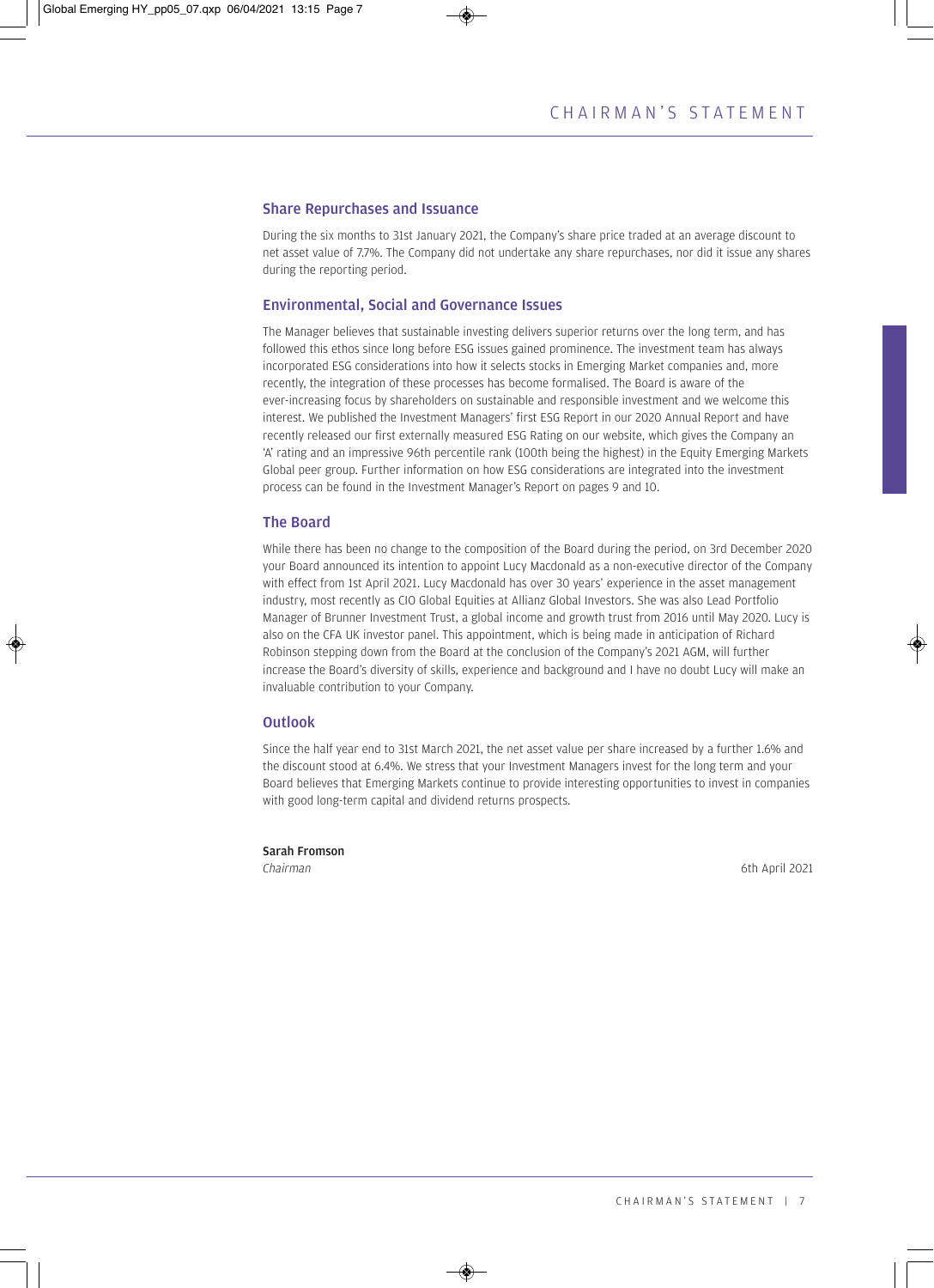#### Share Repurchases and Issuance

During the six months to 31st January 2021, the Company's share price traded at an average discount to net asset value of 7.7%. The Company did not undertake any share repurchases, nor did it issue any shares during the reporting period.

#### Environmental, Social and Governance Issues

The Manager believes that sustainable investing delivers superior returns over the long term, and has followed this ethos since long before ESG issues gained prominence. The investment team has always incorporated ESG considerations into how it selects stocks in Emerging Market companies and, more recently, the integration of these processes has become formalised. The Board is aware of the ever-increasing focus by shareholders on sustainable and responsible investment and we welcome this interest. We published the Investment Managers' first ESG Report in our 2020 Annual Report and have recently released our first externally measured ESG Rating on our website, which gives the Company an 'A' rating and an impressive 96th percentile rank (100th being the highest) in the Equity Emerging Markets Global peer group. Further information on how ESG considerations are integrated into the investment process can be found in the Investment Manager's Report on pages 9 and 10.

#### The Board

While there has been no change to the composition of the Board during the period, on 3rd December 2020 your Board announced its intention to appoint Lucy Macdonald as a non-executive director of the Company with effect from 1st April 2021. Lucy Macdonald has over 30 years' experience in the asset management industry, most recently as CIO Global Equities at Allianz Global Investors. She was also Lead Portfolio Manager of Brunner Investment Trust, a global income and growth trust from 2016 until May 2020. Lucy is also on the CFA UK investor panel. This appointment, which is being made in anticipation of Richard Robinson stepping down from the Board at the conclusion of the Company's 2021 AGM, will further increase the Board's diversity of skills, experience and background and I have no doubt Lucy will make an invaluable contribution to your Company.

#### **Outlook**

Since the half year end to 31st March 2021, the net asset value per share increased by a further 1.6% and the discount stood at 6.4%. We stress that your Investment Managers invest for the long term and your Board believes that Emerging Markets continue to provide interesting opportunities to invest in companies with good long-term capital and dividend returns prospects.

#### Sarah Fromson

*Chairman* 6th April 2021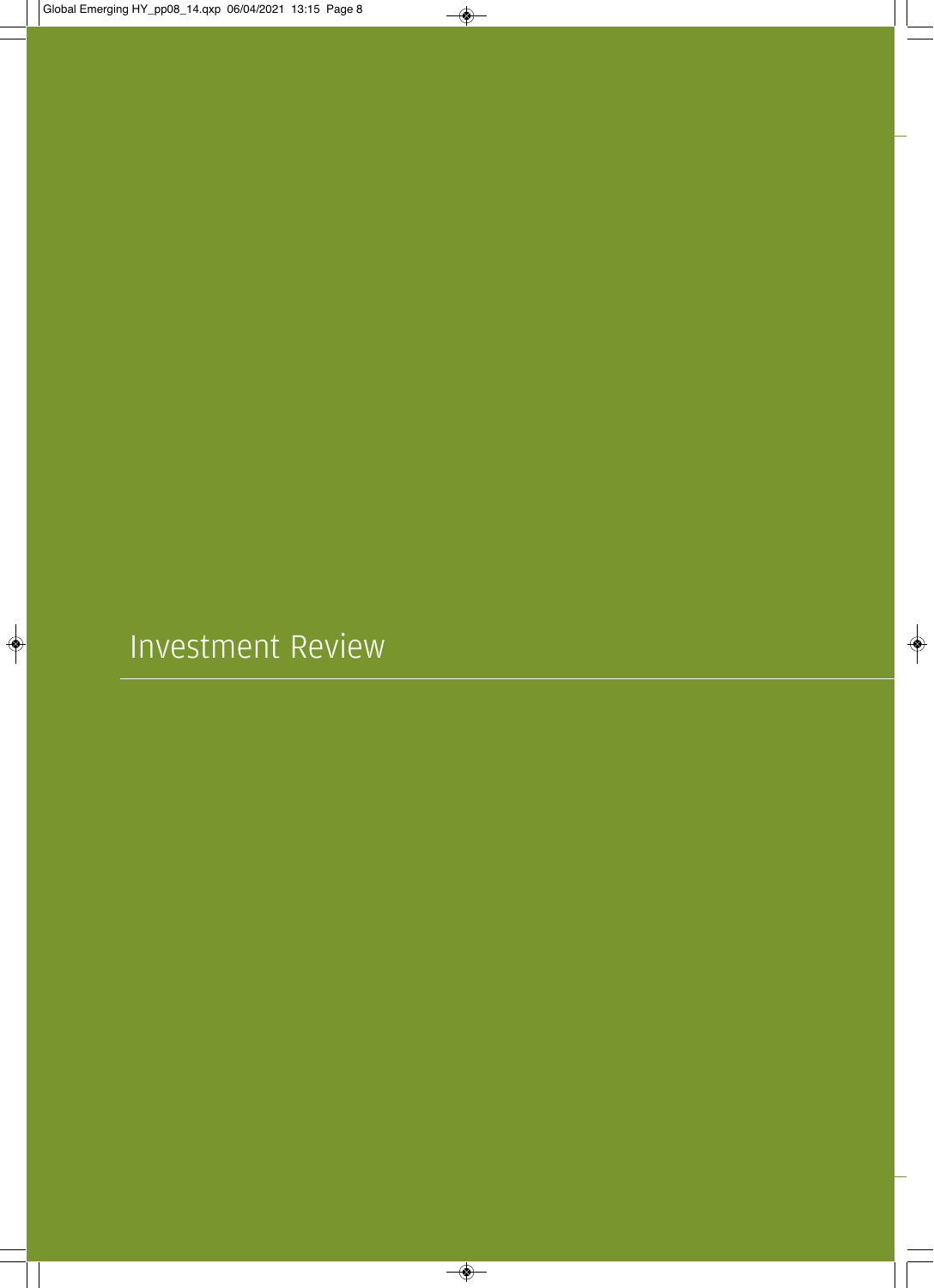Investment Review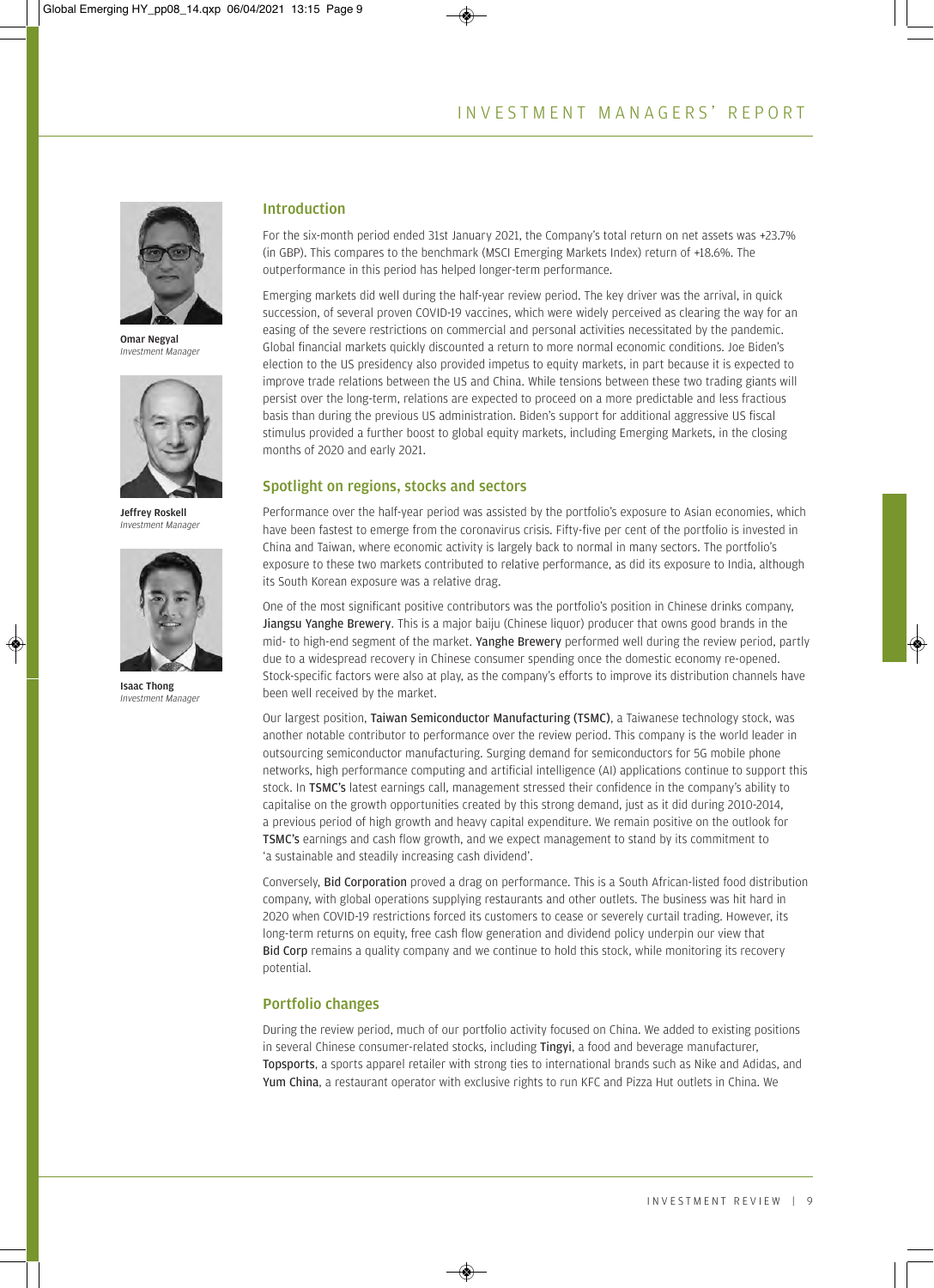

**Omar Negyal**<br>Investment Manager *Investment Manager*



Jeffrey Roskell **Investment Manager** *Investment Manager*



Isaac Thong **Investment Manager** *Investment Manager*

# Introduction

For the six-month period ended 31st January 2021, the Company's total return on net assets was +23.7% (in GBP). This compares to the benchmark (MSCI Emerging Markets Index) return of +18.6%. The outperformance in this period has helped longer-term performance.

Emerging markets did well during the half-year review period. The key driver was the arrival, in quick succession, of several proven COVID-19 vaccines, which were widely perceived as clearing the way for an easing of the severe restrictions on commercial and personal activities necessitated by the pandemic. Global financial markets quickly discounted a return to more normal economic conditions. Joe Biden's election to the US presidency also provided impetus to equity markets, in part because it is expected to improve trade relations between the US and China. While tensions between these two trading giants will persist over the long-term, relations are expected to proceed on a more predictable and less fractious basis than during the previous US administration. Biden's support for additional aggressive US fiscal stimulus provided a further boost to global equity markets, including Emerging Markets, in the closing months of 2020 and early 2021.

# Spotlight on regions, stocks and sectors

Performance over the half-year period was assisted by the portfolio's exposure to Asian economies, which have been fastest to emerge from the coronavirus crisis. Fifty-five per cent of the portfolio is invested in China and Taiwan, where economic activity is largely back to normal in many sectors. The portfolio's exposure to these two markets contributed to relative performance, as did its exposure to India, although its South Korean exposure was a relative drag.

One of the most significant positive contributors was the portfolio's position in Chinese drinks company, Jiangsu Yanghe Brewery. This is a major baiju (Chinese liquor) producer that owns good brands in the mid- to high-end segment of the market. Yanghe Brewery performed well during the review period, partly due to a widespread recovery in Chinese consumer spending once the domestic economy re-opened. Stock-specific factors were also at play, as the company's efforts to improve its distribution channels have been well received by the market.

Our largest position, Taiwan Semiconductor Manufacturing (TSMC), a Taiwanese technology stock, was another notable contributor to performance over the review period. This company is the world leader in outsourcing semiconductor manufacturing. Surging demand for semiconductors for 5G mobile phone networks, high performance computing and artificial intelligence (AI) applications continue to support this stock. In TSMC's latest earnings call, management stressed their confidence in the company's ability to capitalise on the growth opportunities created by this strong demand, just as it did during 2010-2014, a previous period of high growth and heavy capital expenditure. We remain positive on the outlook for TSMC's earnings and cash flow growth, and we expect management to stand by its commitment to 'a sustainable and steadily increasing cash dividend'.

Conversely, Bid Corporation proved a drag on performance. This is a South African-listed food distribution company, with global operations supplying restaurants and other outlets. The business was hit hard in 2020 when COVID-19 restrictions forced its customers to cease or severely curtail trading. However, its long-term returns on equity, free cash flow generation and dividend policy underpin our view that Bid Corp remains a quality company and we continue to hold this stock, while monitoring its recovery potential.

# Portfolio changes

During the review period, much of our portfolio activity focused on China. We added to existing positions in several Chinese consumer-related stocks, including Tingyi, a food and beverage manufacturer, Topsports, a sports apparel retailer with strong ties to international brands such as Nike and Adidas, and Yum China, a restaurant operator with exclusive rights to run KFC and Pizza Hut outlets in China. We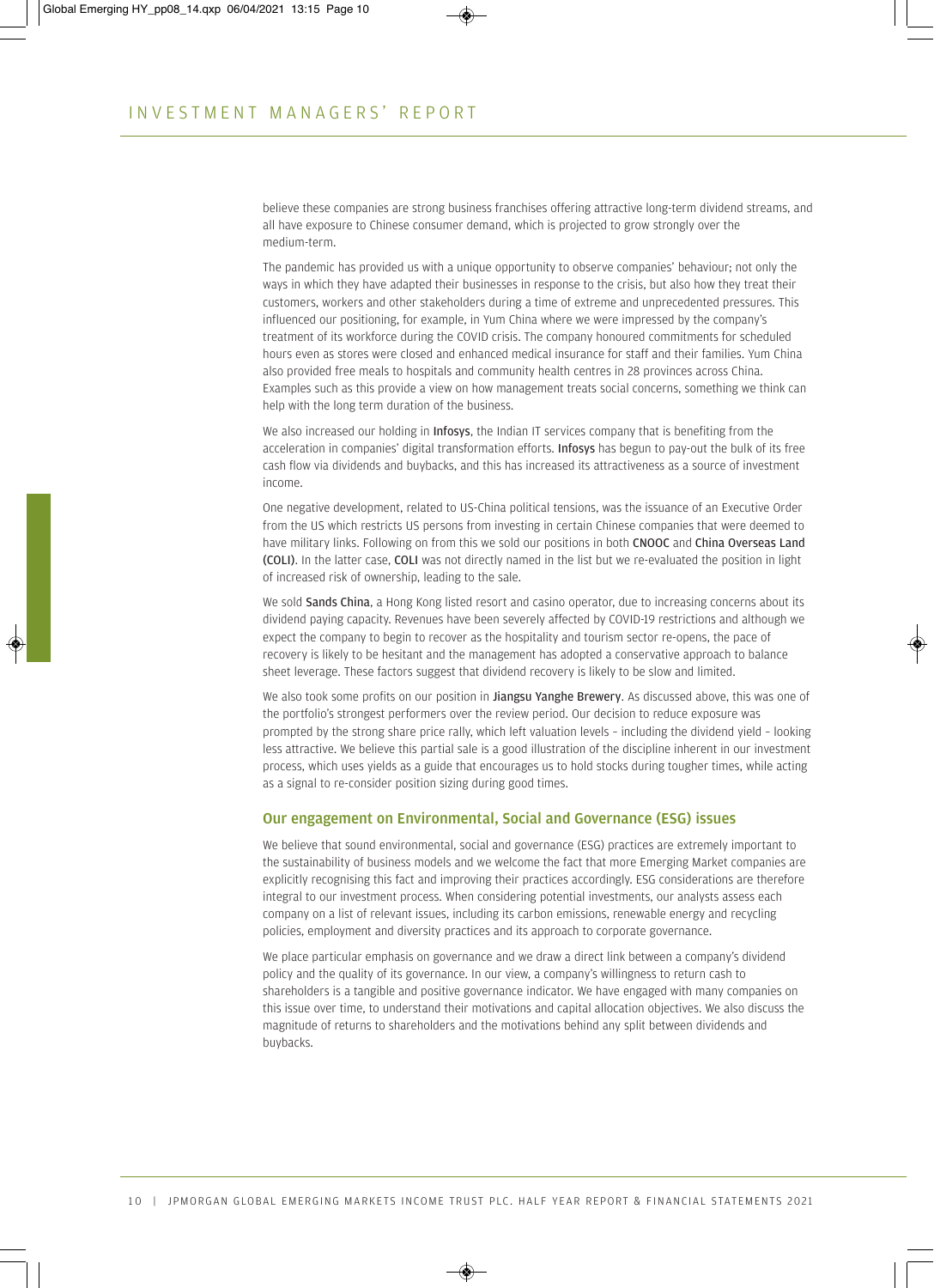believe these companies are strong business franchises offering attractive long-term dividend streams, and all have exposure to Chinese consumer demand, which is projected to grow strongly over the medium-term.

The pandemic has provided us with a unique opportunity to observe companies' behaviour; not only the ways in which they have adapted their businesses in response to the crisis, but also how they treat their customers, workers and other stakeholders during a time of extreme and unprecedented pressures. This influenced our positioning, for example, in Yum China where we were impressed by the company's treatment of its workforce during the COVID crisis. The company honoured commitments for scheduled hours even as stores were closed and enhanced medical insurance for staff and their families. Yum China also provided free meals to hospitals and community health centres in 28 provinces across China. Examples such as this provide a view on how management treats social concerns, something we think can help with the long term duration of the business.

We also increased our holding in Infosys, the Indian IT services company that is benefiting from the acceleration in companies' digital transformation efforts. Infosys has begun to pay-out the bulk of its free cash flow via dividends and buybacks, and this has increased its attractiveness as a source of investment income.

One negative development, related to US-China political tensions, was the issuance of an Executive Order from the US which restricts US persons from investing in certain Chinese companies that were deemed to have military links. Following on from this we sold our positions in both CNOOC and China Overseas Land (COLI). In the latter case, COLI was not directly named in the list but we re-evaluated the position in light of increased risk of ownership, leading to the sale.

We sold Sands China, a Hong Kong listed resort and casino operator, due to increasing concerns about its dividend paying capacity. Revenues have been severely affected by COVID-19 restrictions and although we expect the company to begin to recover as the hospitality and tourism sector re-opens, the pace of recovery is likely to be hesitant and the management has adopted a conservative approach to balance sheet leverage. These factors suggest that dividend recovery is likely to be slow and limited.

We also took some profits on our position in Jiangsu Yanghe Brewery. As discussed above, this was one of the portfolio's strongest performers over the review period. Our decision to reduce exposure was prompted by the strong share price rally, which left valuation levels – including the dividend yield – looking less attractive. We believe this partial sale is a good illustration of the discipline inherent in our investment process, which uses yields as a guide that encourages us to hold stocks during tougher times, while acting as a signal to re-consider position sizing during good times.

#### Our engagement on Environmental, Social and Governance (ESG) issues

We believe that sound environmental, social and governance (ESG) practices are extremely important to the sustainability of business models and we welcome the fact that more Emerging Market companies are explicitly recognising this fact and improving their practices accordingly. ESG considerations are therefore integral to our investment process. When considering potential investments, our analysts assess each company on a list of relevant issues, including its carbon emissions, renewable energy and recycling policies, employment and diversity practices and its approach to corporate governance.

We place particular emphasis on governance and we draw a direct link between a company's dividend policy and the quality of its governance. In our view, a company's willingness to return cash to shareholders is a tangible and positive governance indicator. We have engaged with many companies on this issue over time, to understand their motivations and capital allocation objectives. We also discuss the magnitude of returns to shareholders and the motivations behind any split between dividends and buybacks.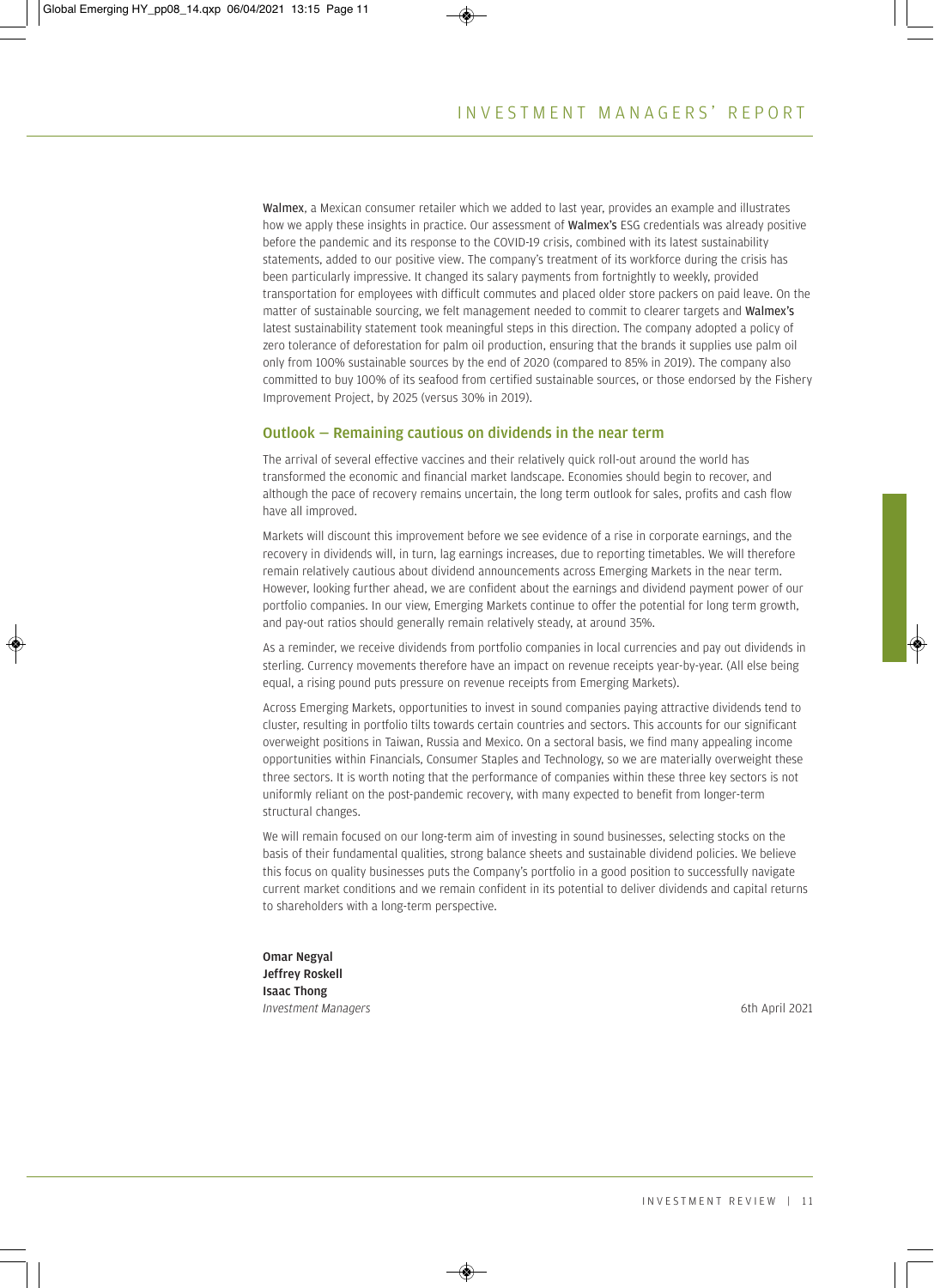Walmex, a Mexican consumer retailer which we added to last year, provides an example and illustrates how we apply these insights in practice. Our assessment of **Walmex's** ESG credentials was already positive before the pandemic and its response to the COVID-19 crisis, combined with its latest sustainability statements, added to our positive view. The company's treatment of its workforce during the crisis has been particularly impressive. It changed its salary payments from fortnightly to weekly, provided transportation for employees with difficult commutes and placed older store packers on paid leave. On the matter of sustainable sourcing, we felt management needed to commit to clearer targets and Walmex's latest sustainability statement took meaningful steps in this direction. The company adopted a policy of zero tolerance of deforestation for palm oil production, ensuring that the brands it supplies use palm oil only from 100% sustainable sources by the end of 2020 (compared to 85% in 2019). The company also committed to buy 100% of its seafood from certified sustainable sources, or those endorsed by the Fishery Improvement Project, by 2025 (versus 30% in 2019).

#### Outlook — Remaining cautious on dividends in the near term

The arrival of several effective vaccines and their relatively quick roll-out around the world has transformed the economic and financial market landscape. Economies should begin to recover, and although the pace of recovery remains uncertain, the long term outlook for sales, profits and cash flow have all improved.

Markets will discount this improvement before we see evidence of a rise in corporate earnings, and the recovery in dividends will, in turn, lag earnings increases, due to reporting timetables. We will therefore remain relatively cautious about dividend announcements across Emerging Markets in the near term. However, looking further ahead, we are confident about the earnings and dividend payment power of our portfolio companies. In our view, Emerging Markets continue to offer the potential for long term growth, and pay-out ratios should generally remain relatively steady, at around 35%.

As a reminder, we receive dividends from portfolio companies in local currencies and pay out dividends in sterling. Currency movements therefore have an impact on revenue receipts year-by-year. (All else being equal, a rising pound puts pressure on revenue receipts from Emerging Markets).

Across Emerging Markets, opportunities to invest in sound companies paying attractive dividends tend to cluster, resulting in portfolio tilts towards certain countries and sectors. This accounts for our significant overweight positions in Taiwan, Russia and Mexico. On a sectoral basis, we find many appealing income opportunities within Financials, Consumer Staples and Technology, so we are materially overweight these three sectors. It is worth noting that the performance of companies within these three key sectors is not uniformly reliant on the post-pandemic recovery, with many expected to benefit from longer-term structural changes.

We will remain focused on our long-term aim of investing in sound businesses, selecting stocks on the basis of their fundamental qualities, strong balance sheets and sustainable dividend policies. We believe this focus on quality businesses puts the Company's portfolio in a good position to successfully navigate current market conditions and we remain confident in its potential to deliver dividends and capital returns to shareholders with a long-term perspective.

Omar Negyal Jeffrey Roskell Isaac Thong *Investment Managers* 6th April 2021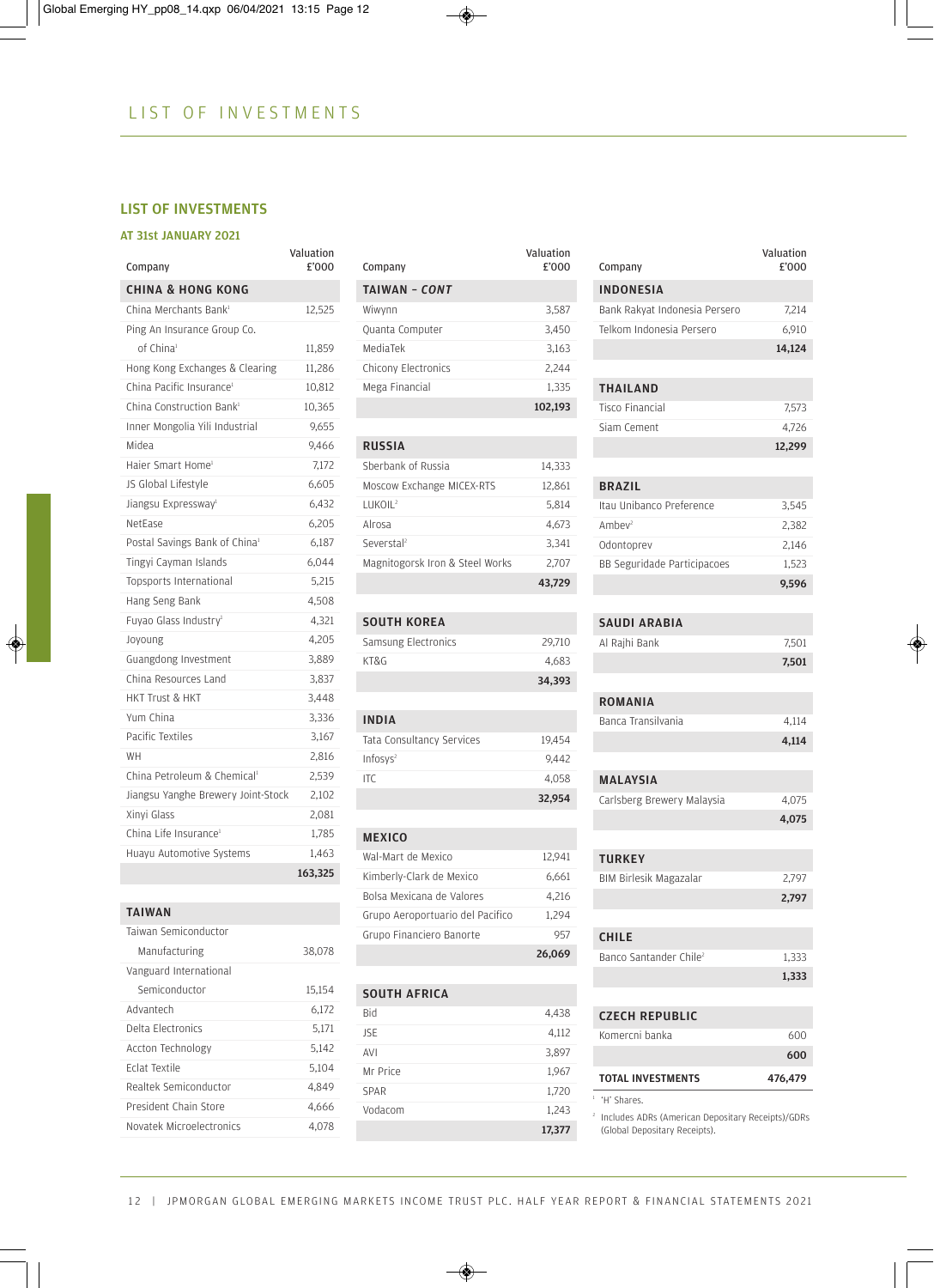# LIST OF INVESTMENTS

#### AT 31st JANUARY 2021

| Company                                   | Valuation<br>£'000 |
|-------------------------------------------|--------------------|
| <b>CHINA &amp; HONG KONG</b>              |                    |
| China Merchants Bank <sup>1</sup>         | 12,525             |
| Ping An Insurance Group Co.               |                    |
| of China <sup>1</sup>                     | 11,859             |
| Hong Kong Exchanges & Clearing            | 11.286             |
| China Pacific Insurance <sup>1</sup>      | 10,812             |
| China Construction Bank <sup>1</sup>      | 10,365             |
| Inner Mongolia Yili Industrial            | 9,655              |
| Midea                                     | 9,466              |
| Haier Smart Home <sup>1</sup>             | 7,172              |
| JS Global Lifestyle                       | 6.605              |
| Jiangsu Expressway <sup>1</sup>           | 6,432              |
| NetEase                                   | 6,205              |
| Postal Savings Bank of China <sup>1</sup> | 6,187              |
| Tingyi Cayman Islands                     | 6,044              |
| Topsports International                   | 5,215              |
| Hang Seng Bank                            | 4,508              |
| Fuyao Glass Industry <sup>1</sup>         | 4,321              |
| Joyoung                                   | 4.205              |
| Guangdong Investment                      | 3.889              |
| China Resources Land                      | 3,837              |
| HKT Trust & HKT                           | 3,448              |
| Yum China                                 | 3,336              |
| Pacific Textiles                          | 3,167              |
| WH                                        | 2,816              |
| China Petroleum & Chemical <sup>1</sup>   | 2,539              |
| Jiangsu Yanghe Brewery Joint-Stock        | 2,102              |
| Xinvi Glass                               | 2,081              |
| China Life Insurance <sup>1</sup>         | 1,785              |
| Huayu Automotive Systems                  | 1,463              |
|                                           | 163,325            |

### TAIWAN

| Taiwan Semiconductor     |        |
|--------------------------|--------|
| Manufacturing            | 38.078 |
| Vanguard International   |        |
| Semiconductor            | 15.154 |
| Advantech                | 6.172  |
| Delta Electronics        | 5.171  |
| Accton Technology        | 5.142  |
| <b>Frlat Textile</b>     | 5,104  |
| Realtek Semiconductor    | 4.849  |
| President Chain Store    | 4.666  |
| Novatek Microelectronics | 4.078  |

| Company             | Valuation<br>£'000 |
|---------------------|--------------------|
| TAIWAN - CONT       |                    |
| Wiwynn              | 3,587              |
| Quanta Computer     | 3.450              |
| MediaTek            | 3.163              |
| Chicony Electronics | 2.244              |
| Mega Financial      | 1,335              |
|                     | 102.193            |

#### RUSSIA

|                                 | 43.729 |
|---------------------------------|--------|
| Magnitogorsk Iron & Steel Works | 2.707  |
| Severstal <sup>2</sup>          | 3.341  |
| Alrosa                          | 4.673  |
| LUKOIL <sup>2</sup>             | 5.814  |
| Moscow Exchange MICEX-RTS       | 12,861 |
| Sherbank of Russia              | 14.333 |
|                                 |        |

# SOUTH KOREA

|                     | 34,393 |
|---------------------|--------|
| KT&G                | 4.683  |
| Samsung Electronics | 29,710 |

# INDIA

|                           | 32.954 |
|---------------------------|--------|
| ITC.                      | 4.058  |
| Infosys <sup>2</sup>      | 9.442  |
| Tata Consultancy Services | 19,454 |
|                           |        |

# MEXICO

|                                  | 26,069 |
|----------------------------------|--------|
| Grupo Financiero Banorte         | 957    |
| Grupo Aeroportuario del Pacifico | 1.294  |
| Bolsa Mexicana de Valores        | 4,216  |
| Kimberly-Clark de Mexico         | 6.661  |
| Wal-Mart de Mexico               | 12.941 |
|                                  |        |

# SOUTH AFRICA

| <b>Bid</b>  | 4,438  |
|-------------|--------|
| <b>JSE</b>  | 4,112  |
| AVI         | 3,897  |
| Mr Price    | 1,967  |
| <b>SPAR</b> | 1,720  |
| Vodacom     | 1,243  |
|             | 17,377 |

# Valuation<br>
£'000 Company INDONESIA Bank Rakyat Indonesia Persero 7,214 Telkom Indonesia Persero 6,910 14,124 THAILAND Tisco Financial 7,573 Siam Cement 4,726 12,299 BRAZIL Itau Unibanco Preference 3,545 Ambev<sup>2</sup> 2,382 Odontoprev 2,146 BB Seguridade Participacoes 1,523 9,596 SAUDI ARABIA Al Rajhi Bank 7,501 7,501 ROMANIA Banca Transilvania 4,114 4,114 MALAYSIA Carlsberg Brewery Malaysia 4,075 4,075 **TURKEY** BIM Birlesik Magazalar 2,797 2,797 CHILE Banco Santander Chile<sup>2</sup> 1,333 1,333 CZECH REPUBLIC Komercni banka 600 600 TOTAL INVESTMENTS 476,479 <sup>1</sup> 'H' Shares.

<sup>2</sup> Includes ADRs (American Depositary Receipts)/GDRs (Global Depositary Receipts).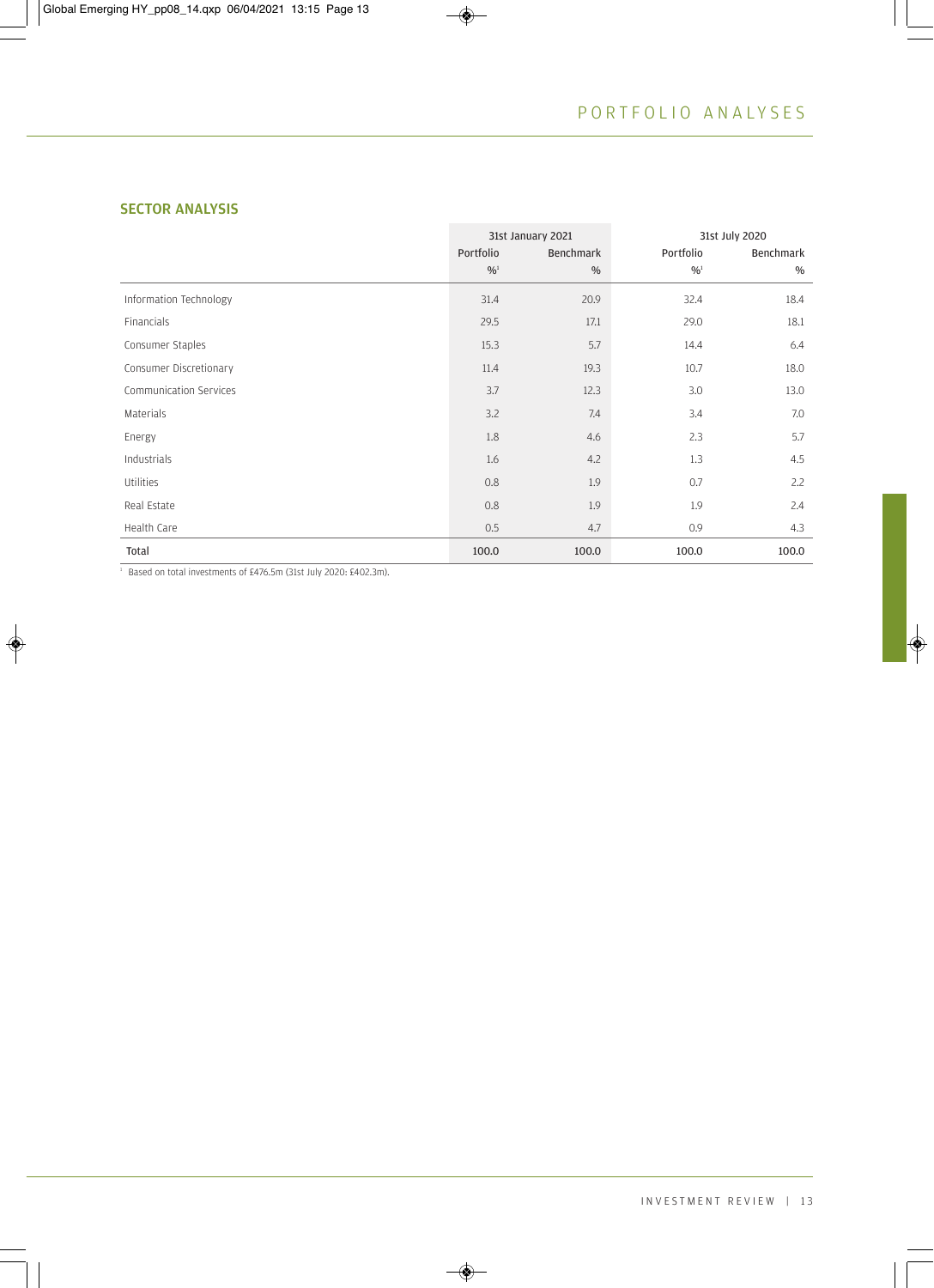# SECTOR ANALYSIS

|                        | 31st January 2021          |                  | 31st July 2020 |           |
|------------------------|----------------------------|------------------|----------------|-----------|
|                        | Portfolio                  | <b>Benchmark</b> | Portfolio      | Benchmark |
|                        | $\frac{0}{0}$ <sup>1</sup> | $\frac{0}{0}$    | $^{0/0}$       | %         |
| Information Technology | 31.4                       | 20.9             | 32.4           | 18.4      |
| Financials             | 29.5                       | 17.1             | 29.0           | 18.1      |
| Consumer Staples       | 15.3                       | 5.7              | 14.4           | 6.4       |
| Consumer Discretionary | 11.4                       | 19.3             | 10.7           | 18.0      |
| Communication Services | 3.7                        | 12.3             | 3.0            | 13.0      |
| Materials              | 3.2                        | 7.4              | 3.4            | 7.0       |
| Energy                 | 1.8                        | 4.6              | 2.3            | 5.7       |
| Industrials            | 1.6                        | 4.2              | 1.3            | 4.5       |
| Utilities              | 0.8                        | 1.9              | 0.7            | 2.2       |
| Real Estate            | 0.8                        | 1.9              | 1.9            | 2.4       |
| Health Care            | 0.5                        | 4.7              | 0.9            | 4.3       |
| Total                  | 100.0                      | 100.0            | 100.0          | 100.0     |

<sup>1</sup> Based on total investments of £476.5m (31st July 2020: £402.3m).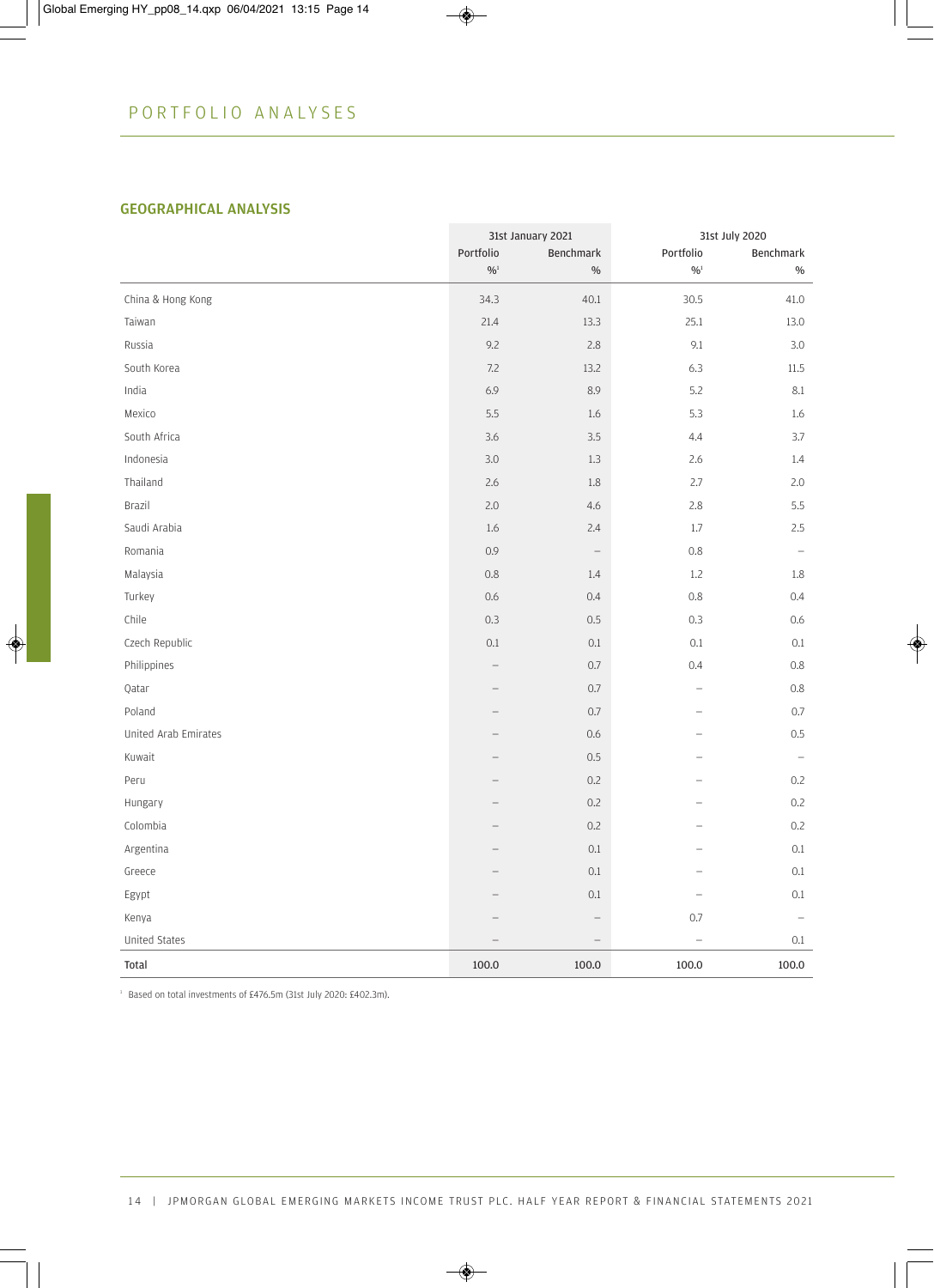# GEOGRAPHICAL ANALYSIS

|                      | 31st January 2021 |                          |                          | 31st July 2020    |
|----------------------|-------------------|--------------------------|--------------------------|-------------------|
|                      | Portfolio         | Benchmark                | Portfolio                | Benchmark         |
|                      | $\frac{0}{0}$     | $\%$                     | $\frac{0}{0}$            | $\%$              |
| China & Hong Kong    | 34.3              | 40.1                     | 30.5                     | 41.0              |
| Taiwan               | 21.4              | 13.3                     | 25.1                     | 13.0              |
| Russia               | 9.2               | 2.8                      | 9.1                      | 3.0               |
| South Korea          | 7.2               | 13.2                     | 6.3                      | 11.5              |
| India                | 6.9               | 8.9                      | 5.2                      | 8.1               |
| Mexico               | 5.5               | 1.6                      | 5.3                      | 1.6               |
| South Africa         | 3.6               | 3.5                      | 4.4                      | 3.7               |
| Indonesia            | 3.0               | 1.3                      | 2.6                      | 1.4               |
| Thailand             | 2.6               | 1.8                      | 2.7                      | 2.0               |
| Brazil               | 2.0               | 4.6                      | 2.8                      | 5.5               |
| Saudi Arabia         | 1.6               | 2.4                      | 1.7                      | 2.5               |
| Romania              | 0.9               | $\overline{\phantom{0}}$ | 0.8                      |                   |
| Malaysia             | 0.8               | 1.4                      | 1.2                      | 1.8               |
| Turkey               | 0.6               | 0.4                      | 0.8                      | 0.4               |
| Chile                | 0.3               | $0.5\,$                  | 0.3                      | 0.6               |
| Czech Republic       | 0.1               | $0.1\,$                  | 0.1                      | 0.1               |
| Philippines          |                   | 0.7                      | 0.4                      | 0.8               |
| Qatar                |                   | 0.7                      | $\overline{\phantom{0}}$ | $0.8\,$           |
| Poland               |                   | 0.7                      | $\equiv$                 | 0.7               |
| United Arab Emirates |                   | 0.6                      |                          | $0.5\,$           |
| Kuwait               |                   | $0.5\,$                  |                          | $\qquad \qquad -$ |
| Peru                 |                   | 0.2                      |                          | 0.2               |
| Hungary              |                   | 0.2                      |                          | 0.2               |
| Colombia             |                   | 0.2                      |                          | 0.2               |
| Argentina            |                   | 0.1                      |                          | 0.1               |
| Greece               |                   | 0.1                      |                          | 0.1               |
| Egypt                |                   | 0.1                      |                          | 0.1               |
| Kenya                |                   |                          | 0.7                      |                   |
| United States        |                   | $\overline{\phantom{0}}$ | $\overline{\phantom{0}}$ | 0.1               |
| Total                | 100.0             | 100.0                    | 100.0                    | 100.0             |

<sup>1</sup> Based on total investments of £476.5m (31st July 2020: £402.3m).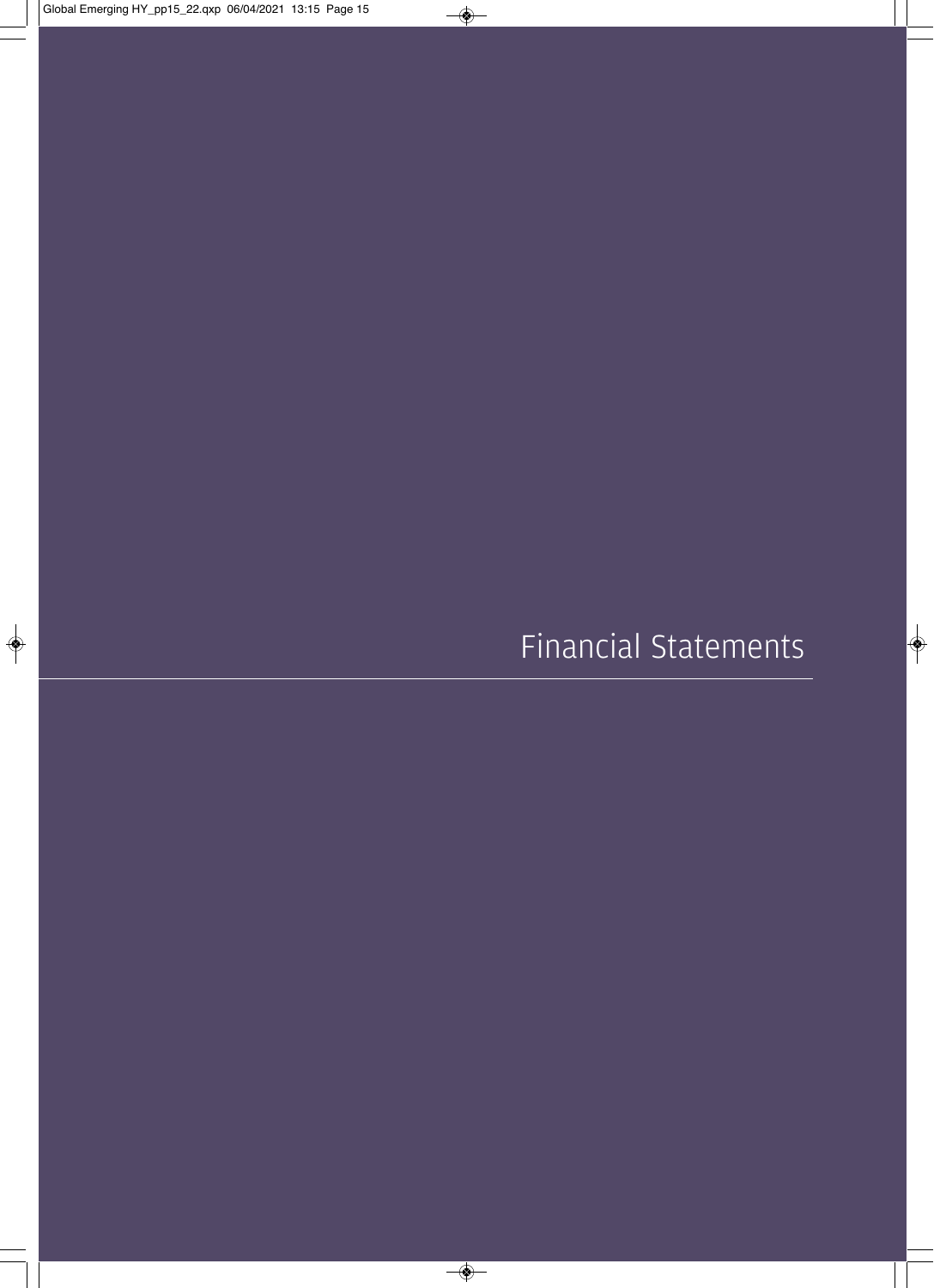Financial Statements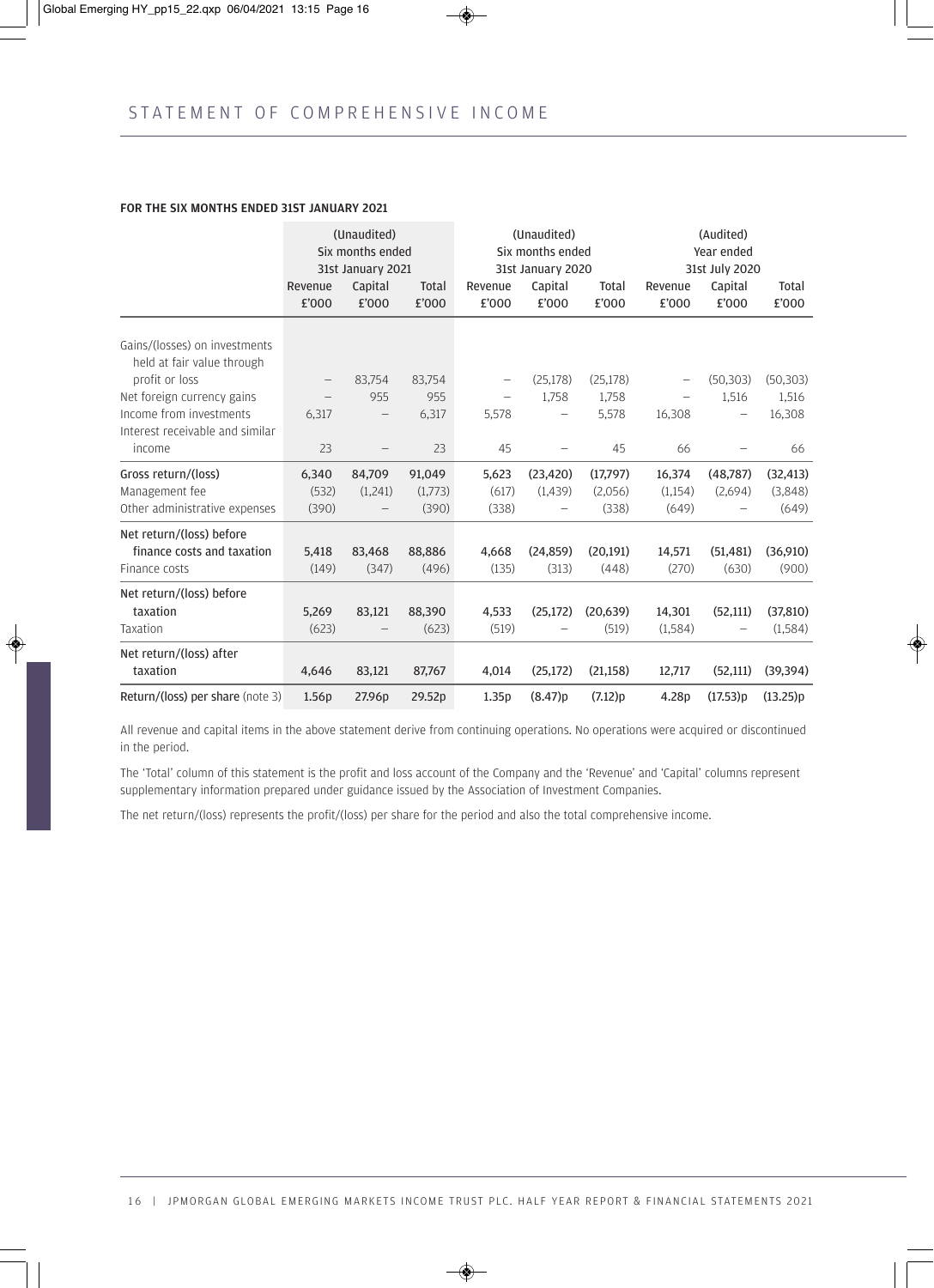#### FOR THE SIX MONTHS ENDED 31ST JANUARY 2021

|                                                             | (Unaudited)<br>Six months ended<br>31st January 2021 |                          |                       | (Unaudited)<br>Six months ended<br>31st January 2020 |                  |                | (Audited)<br>Year ended<br>31st July 2020 |                   |                |
|-------------------------------------------------------------|------------------------------------------------------|--------------------------|-----------------------|------------------------------------------------------|------------------|----------------|-------------------------------------------|-------------------|----------------|
|                                                             | Revenue<br>£'000                                     | Capital<br>£'000         | <b>Total</b><br>£'000 | Revenue<br>£'000                                     | Capital<br>£'000 | Total<br>£'000 | Revenue<br>£'000                          | Capital<br>£'000  | Total<br>£'000 |
| Gains/(losses) on investments<br>held at fair value through |                                                      |                          |                       |                                                      |                  |                |                                           |                   |                |
| profit or loss                                              | $\qquad \qquad -$                                    | 83,754                   | 83,754                | $\qquad \qquad -$                                    | (25, 178)        | (25, 178)      |                                           | (50, 303)         | (50, 303)      |
| Net foreign currency gains                                  |                                                      | 955                      | 955                   |                                                      | 1,758            | 1,758          |                                           | 1,516             | 1,516          |
| Income from investments<br>Interest receivable and similar  | 6,317                                                | $\qquad \qquad -$        | 6,317                 | 5,578                                                |                  | 5,578          | 16,308                                    | $\qquad \qquad -$ | 16,308         |
| income                                                      | 23                                                   | $\overline{\phantom{m}}$ | 23                    | 45                                                   |                  | 45             | 66                                        |                   | 66             |
| Gross return/(loss)                                         | 6,340                                                | 84,709                   | 91,049                | 5,623                                                | (23, 420)        | (17,797)       | 16,374                                    | (48, 787)         | (32, 413)      |
| Management fee                                              | (532)                                                | (1,241)                  | (1,773)               | (617)                                                | (1,439)          | (2,056)        | (1,154)                                   | (2,694)           | (3,848)        |
| Other administrative expenses                               | (390)                                                |                          | (390)                 | (338)                                                |                  | (338)          | (649)                                     |                   | (649)          |
| Net return/(loss) before                                    |                                                      |                          |                       |                                                      |                  |                |                                           |                   |                |
| finance costs and taxation                                  | 5,418                                                | 83,468                   | 88,886                | 4,668                                                | (24, 859)        | (20, 191)      | 14,571                                    | (51, 481)         | (36,910)       |
| Finance costs                                               | (149)                                                | (347)                    | (496)                 | (135)                                                | (313)            | (448)          | (270)                                     | (630)             | (900)          |
| Net return/(loss) before                                    |                                                      |                          |                       |                                                      |                  |                |                                           |                   |                |
| taxation                                                    | 5,269                                                | 83,121                   | 88,390                | 4,533                                                | (25, 172)        | (20,639)       | 14,301                                    | (52, 111)         | (37, 810)      |
| Taxation                                                    | (623)                                                |                          | (623)                 | (519)                                                |                  | (519)          | (1, 584)                                  |                   | (1,584)        |
| Net return/(loss) after<br>taxation                         | 4,646                                                | 83,121                   | 87,767                | 4,014                                                | (25, 172)        | (21, 158)      | 12,717                                    | (52,111)          | (39, 394)      |
| Return/(loss) per share (note 3)                            | 1.56p                                                | 27.96p                   | 29.52p                | 1.35p                                                | (8.47)p          | (7.12)p        | 4.28p                                     | (17.53)p          | (13.25)p       |

All revenue and capital items in the above statement derive from continuing operations. No operations were acquired or discontinued in the period.

The 'Total' column of this statement is the profit and loss account of the Company and the 'Revenue' and 'Capital' columns represent supplementary information prepared under guidance issued by the Association of Investment Companies.

The net return/(loss) represents the profit/(loss) per share for the period and also the total comprehensive income.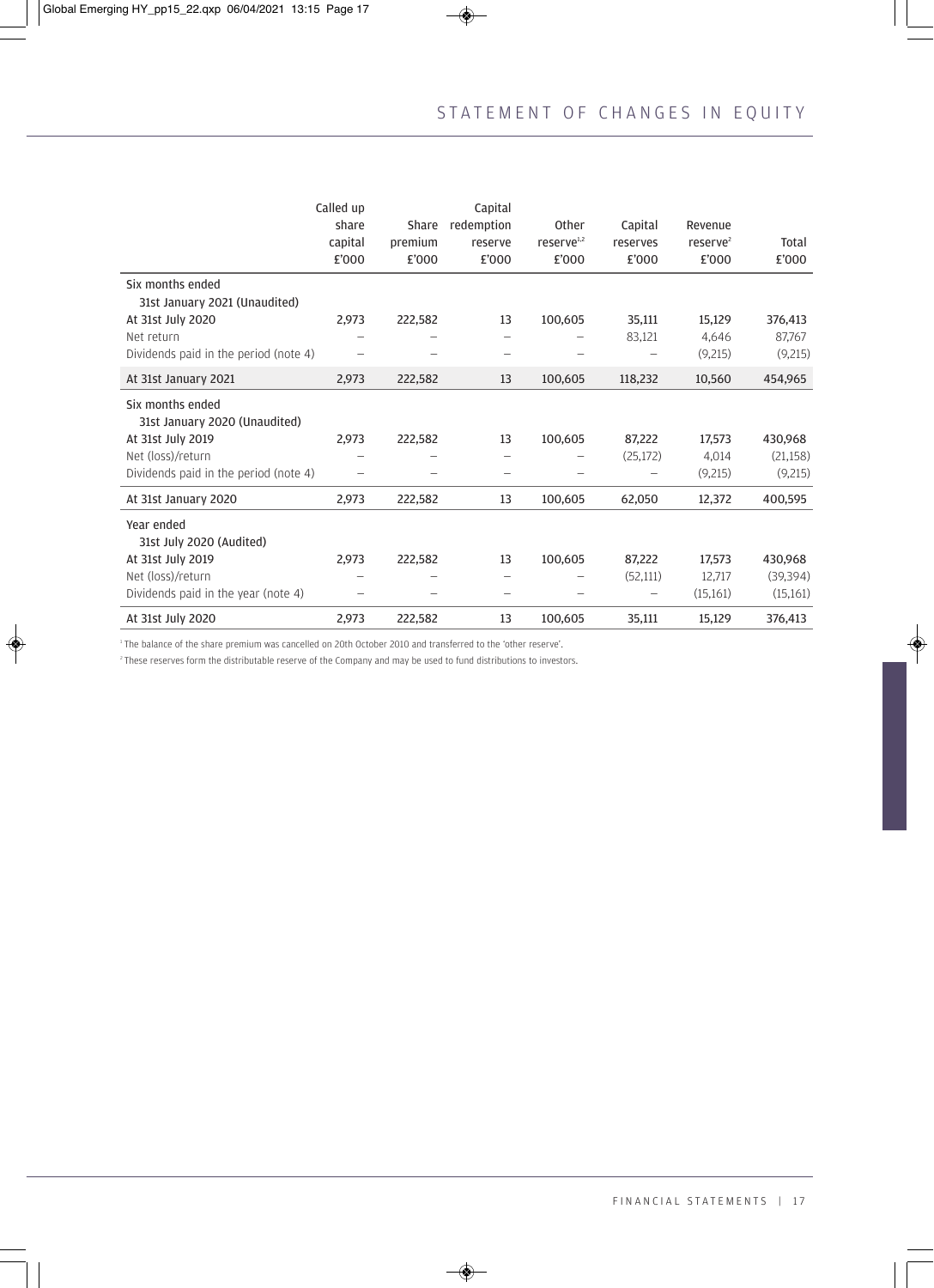|                                       | Called up |         | Capital    |                        |          |                      |           |
|---------------------------------------|-----------|---------|------------|------------------------|----------|----------------------|-----------|
|                                       | share     | Share   | redemption | Other                  | Capital  | Revenue              |           |
|                                       | capital   | premium | reserve    | reserve <sup>1,2</sup> | reserves | reserve <sup>2</sup> | Total     |
|                                       | £'000     | £'000   | £'000      | £'000                  | £'000    | £'000                | £'000     |
| Six months ended                      |           |         |            |                        |          |                      |           |
| 31st January 2021 (Unaudited)         |           |         |            |                        |          |                      |           |
| At 31st July 2020                     | 2,973     | 222,582 | 13         | 100,605                | 35,111   | 15,129               | 376,413   |
| Net return                            |           |         |            |                        | 83,121   | 4,646                | 87,767    |
| Dividends paid in the period (note 4) |           |         |            |                        |          | (9,215)              | (9,215)   |
| At 31st January 2021                  | 2,973     | 222,582 | 13         | 100,605                | 118,232  | 10,560               | 454,965   |
| Six months ended                      |           |         |            |                        |          |                      |           |
| 31st January 2020 (Unaudited)         |           |         |            |                        |          |                      |           |
| At 31st July 2019                     | 2,973     | 222,582 | 13         | 100,605                | 87,222   | 17,573               | 430,968   |
| Net (loss)/return                     |           |         | -          |                        | (25,172) | 4,014                | (21, 158) |
| Dividends paid in the period (note 4) |           |         | -          |                        |          | (9,215)              | (9,215)   |
| At 31st January 2020                  | 2,973     | 222,582 | 13         | 100,605                | 62,050   | 12,372               | 400,595   |
| Year ended                            |           |         |            |                        |          |                      |           |
| 31st July 2020 (Audited)              |           |         |            |                        |          |                      |           |
| At 31st July 2019                     | 2,973     | 222,582 | 13         | 100,605                | 87,222   | 17,573               | 430,968   |
| Net (loss)/return                     |           |         |            |                        | (52,111) | 12,717               | (39,394)  |
| Dividends paid in the year (note 4)   |           |         | -          |                        |          | (15,161)             | (15,161)  |
| At 31st July 2020                     | 2,973     | 222,582 | 13         | 100,605                | 35,111   | 15,129               | 376,413   |

<sup>1</sup> The balance of the share premium was cancelled on 20th October 2010 and transferred to the 'other reserve'.

<sup>2</sup> These reserves form the distributable reserve of the Company and may be used to fund distributions to investors.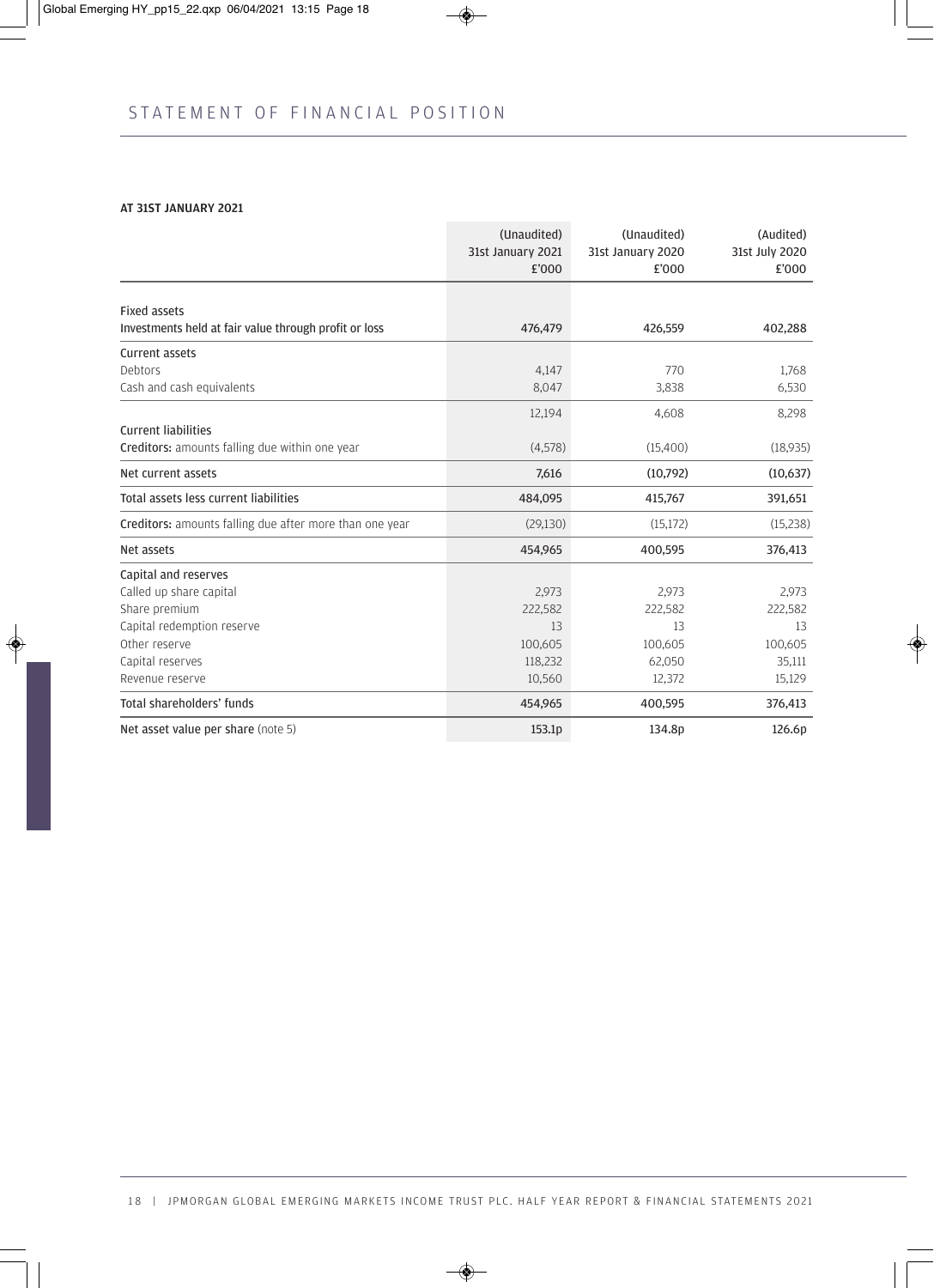### AT 31ST JANUARY 2021

|                                                         | (Unaudited)<br>31st January 2021<br>£'000 | (Unaudited)<br>31st January 2020<br>£'000 | (Audited)<br>31st July 2020<br>£'000 |
|---------------------------------------------------------|-------------------------------------------|-------------------------------------------|--------------------------------------|
| <b>Fixed assets</b>                                     |                                           |                                           |                                      |
| Investments held at fair value through profit or loss   | 476,479                                   | 426,559                                   | 402,288                              |
| <b>Current assets</b>                                   |                                           |                                           |                                      |
| Debtors                                                 | 4,147                                     | 770                                       | 1,768                                |
| Cash and cash equivalents                               | 8,047                                     | 3,838                                     | 6,530                                |
|                                                         | 12,194                                    | 4,608                                     | 8,298                                |
| <b>Current liabilities</b>                              |                                           |                                           |                                      |
| Creditors: amounts falling due within one year          | (4,578)                                   | (15,400)                                  | (18,935)                             |
| Net current assets                                      | 7,616                                     | (10,792)                                  | (10,637)                             |
| Total assets less current liabilities                   | 484,095                                   | 415,767                                   | 391,651                              |
| Creditors: amounts falling due after more than one year | (29, 130)                                 | (15, 172)                                 | (15,238)                             |
| Net assets                                              | 454,965                                   | 400,595                                   | 376,413                              |
| Capital and reserves                                    |                                           |                                           |                                      |
| Called up share capital                                 | 2,973                                     | 2,973                                     | 2,973                                |
| Share premium                                           | 222,582                                   | 222,582                                   | 222,582                              |
| Capital redemption reserve                              | 13                                        | 13                                        | 13                                   |
| Other reserve                                           | 100,605                                   | 100,605                                   | 100,605                              |
| Capital reserves                                        | 118,232                                   | 62,050                                    | 35,111                               |
| Revenue reserve                                         | 10,560                                    | 12,372                                    | 15,129                               |
| Total shareholders' funds                               | 454,965                                   | 400,595                                   | 376,413                              |
| Net asset value per share (note 5)                      | 153.1p                                    | 134.8p                                    | 126.6p                               |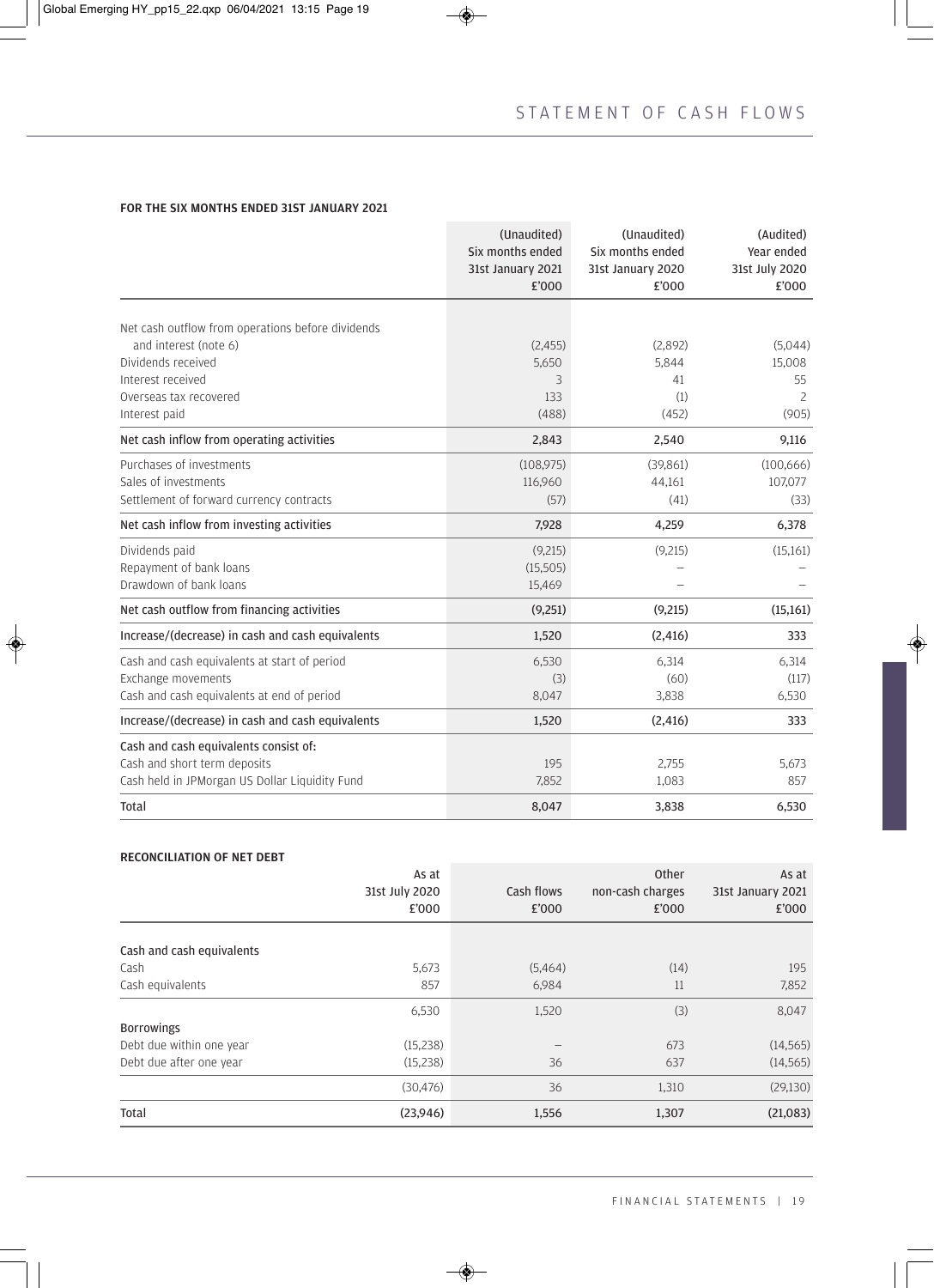# FOR THE SIX MONTHS ENDED 31ST JANUARY 2021

|                                                   | (Unaudited)<br>Six months ended<br>31st January 2021 | (Unaudited)<br>Six months ended<br>31st January 2020 | (Audited)<br>Year ended<br>31st July 2020 |
|---------------------------------------------------|------------------------------------------------------|------------------------------------------------------|-------------------------------------------|
|                                                   | £'000                                                | £'000                                                | £'000                                     |
| Net cash outflow from operations before dividends |                                                      |                                                      |                                           |
| and interest (note 6)                             | (2,455)                                              | (2,892)                                              | (5,044)                                   |
| Dividends received                                | 5,650                                                | 5,844                                                | 15,008                                    |
| Interest received                                 | 3                                                    | 41                                                   | 55                                        |
| Overseas tax recovered                            | 133                                                  | (1)                                                  | 2                                         |
| Interest paid                                     | (488)                                                | (452)                                                | (905)                                     |
| Net cash inflow from operating activities         | 2,843                                                | 2,540                                                | 9,116                                     |
| Purchases of investments                          | (108,975)                                            | (39,861)                                             | (100, 666)                                |
| Sales of investments                              | 116,960                                              | 44,161                                               | 107,077                                   |
| Settlement of forward currency contracts          | (57)                                                 | (41)                                                 | (33)                                      |
| Net cash inflow from investing activities         | 7,928                                                | 4,259                                                | 6,378                                     |
| Dividends paid                                    | (9,215)                                              | (9,215)                                              | (15,161)                                  |
| Repayment of bank loans                           | (15, 505)                                            |                                                      |                                           |
| Drawdown of bank loans                            | 15,469                                               |                                                      |                                           |
| Net cash outflow from financing activities        | (9,251)                                              | (9,215)                                              | (15, 161)                                 |
| Increase/(decrease) in cash and cash equivalents  | 1,520                                                | (2, 416)                                             | 333                                       |
| Cash and cash equivalents at start of period      | 6,530                                                | 6,314                                                | 6,314                                     |
| Exchange movements                                | (3)                                                  | (60)                                                 | (117)                                     |
| Cash and cash equivalents at end of period        | 8,047                                                | 3,838                                                | 6,530                                     |
| Increase/(decrease) in cash and cash equivalents  | 1,520                                                | (2, 416)                                             | 333                                       |
| Cash and cash equivalents consist of:             |                                                      |                                                      |                                           |
| Cash and short term deposits                      | 195                                                  | 2,755                                                | 5,673                                     |
| Cash held in JPMorgan US Dollar Liquidity Fund    | 7,852                                                | 1,083                                                | 857                                       |
| Total                                             | 8,047                                                | 3,838                                                | 6,530                                     |

# RECONCILIATION OF NET DEBT

|                           | As at          |            | Other            | As at             |
|---------------------------|----------------|------------|------------------|-------------------|
|                           | 31st July 2020 | Cash flows | non-cash charges | 31st January 2021 |
|                           | £'000          | £'000      | £'000            | £'000             |
| Cash and cash equivalents |                |            |                  |                   |
| Cash                      | 5,673          | (5,464)    | (14)             | 195               |
| Cash equivalents          | 857            | 6,984      | 11               | 7,852             |
|                           | 6,530          | 1,520      | (3)              | 8,047             |
| <b>Borrowings</b>         |                |            |                  |                   |
| Debt due within one year  | (15,238)       |            | 673              | (14, 565)         |
| Debt due after one year   | (15,238)       | 36         | 637              | (14, 565)         |
|                           | (30, 476)      | 36         | 1,310            | (29, 130)         |
| Total                     | (23,946)       | 1,556      | 1,307            | (21,083)          |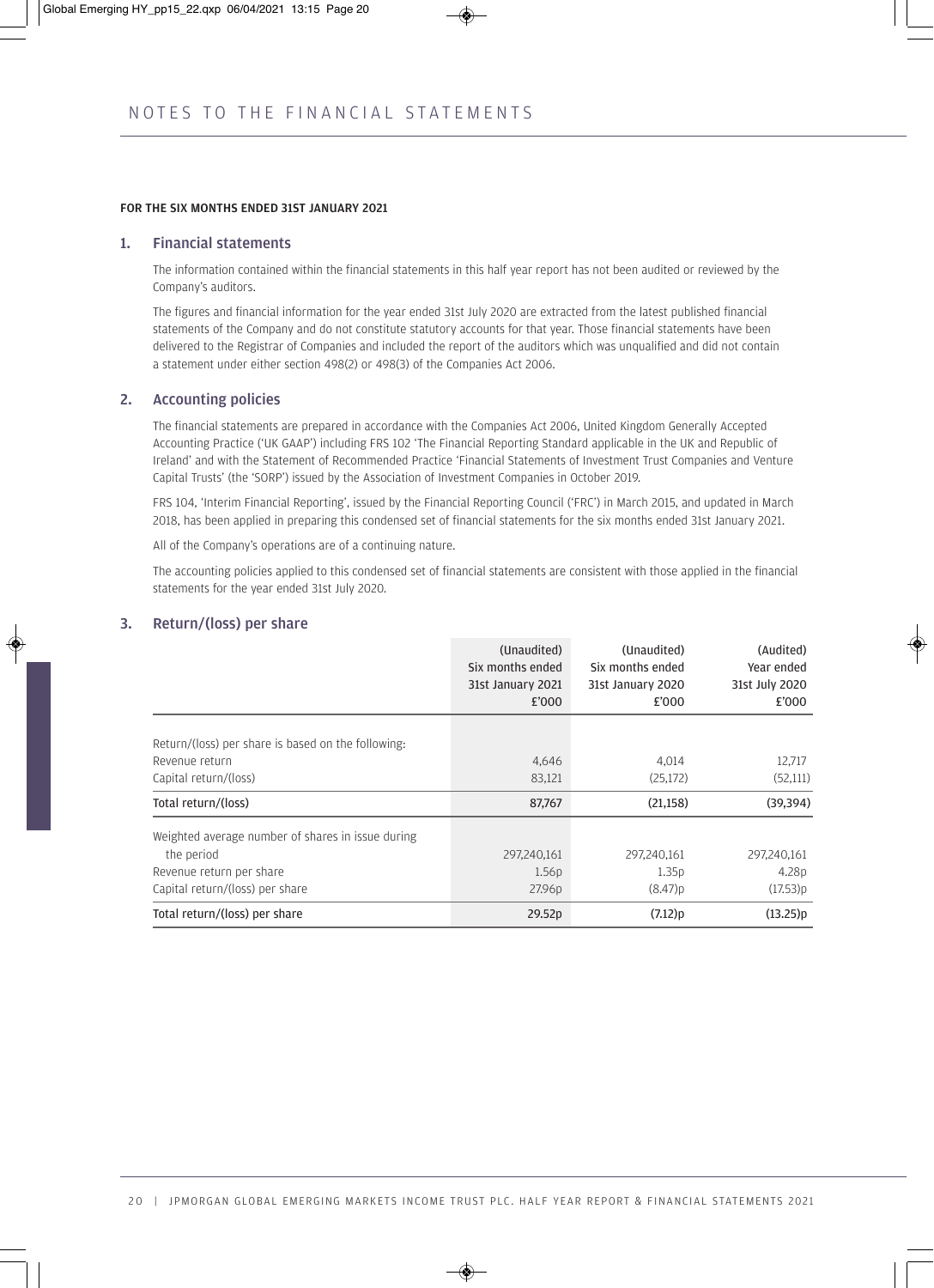#### FOR THE SIX MONTHS ENDED 31ST JANUARY 2021

#### 1. Financial statements

The information contained within the financial statements in this half year report has not been audited or reviewed by the Company's auditors.

The figures and financial information for the year ended 31st July 2020 are extracted from the latest published financial statements of the Company and do not constitute statutory accounts for that year. Those financial statements have been delivered to the Registrar of Companies and included the report of the auditors which was unqualified and did not contain a statement under either section 498(2) or 498(3) of the Companies Act 2006.

#### 2. Accounting policies

The financial statements are prepared in accordance with the Companies Act 2006, United Kingdom Generally Accepted Accounting Practice ('UK GAAP') including FRS 102 'The Financial Reporting Standard applicable in the UK and Republic of Ireland' and with the Statement of Recommended Practice 'Financial Statements of Investment Trust Companies and Venture Capital Trusts' (the 'SORP') issued by the Association of Investment Companies in October 2019.

FRS 104, 'Interim Financial Reporting', issued by the Financial Reporting Council ('FRC') in March 2015, and updated in March 2018, has been applied in preparing this condensed set of financial statements for the six months ended 31st January 2021.

All of the Company's operations are of a continuing nature.

The accounting policies applied to this condensed set of financial statements are consistent with those applied in the financial statements for the year ended 31st July 2020.

#### 3. Return/(loss) per share

|                                                    | (Unaudited)<br>Six months ended<br>31st January 2021<br>£'000 | (Unaudited)<br>Six months ended<br>31st January 2020<br>£'000 | (Audited)<br>Year ended<br>31st July 2020<br>£'000 |
|----------------------------------------------------|---------------------------------------------------------------|---------------------------------------------------------------|----------------------------------------------------|
|                                                    |                                                               |                                                               |                                                    |
| Return/(loss) per share is based on the following: |                                                               |                                                               |                                                    |
| Revenue return                                     | 4,646                                                         | 4.014                                                         | 12,717                                             |
| Capital return/(loss)                              | 83,121                                                        | (25,172)                                                      | (52,111)                                           |
| Total return/(loss)                                | 87,767                                                        | (21, 158)                                                     | (39, 394)                                          |
| Weighted average number of shares in issue during  |                                                               |                                                               |                                                    |
| the period                                         | 297,240,161                                                   | 297,240,161                                                   | 297,240,161                                        |
| Revenue return per share                           | 1.56 <sub>p</sub>                                             | 1.35p                                                         | 4.28p                                              |
| Capital return/(loss) per share                    | 27.96p                                                        | (8.47)p                                                       | (17.53)p                                           |
| Total return/(loss) per share                      | 29.52p                                                        | (7.12)p                                                       | (13.25)p                                           |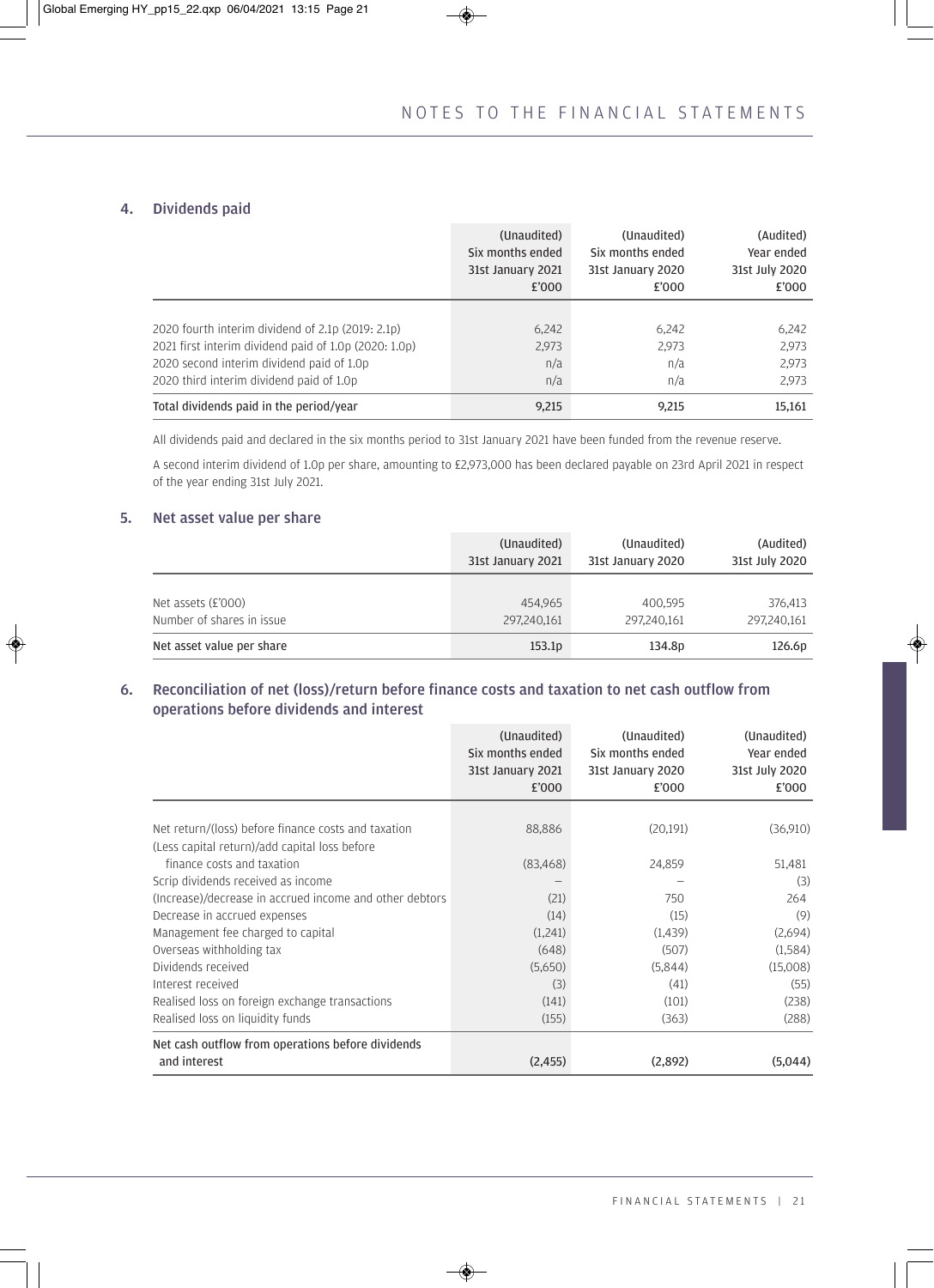# 4. Dividends paid

|                                                       | (Unaudited)<br>Six months ended<br>31st January 2021<br>£'000 | (Unaudited)<br>Six months ended<br>31st January 2020<br>£'000 | (Audited)<br>Year ended<br>31st July 2020<br>£'000 |
|-------------------------------------------------------|---------------------------------------------------------------|---------------------------------------------------------------|----------------------------------------------------|
|                                                       |                                                               |                                                               |                                                    |
| 2020 fourth interim dividend of 2.1p (2019: 2.1p)     | 6,242                                                         | 6.242                                                         | 6,242                                              |
| 2021 first interim dividend paid of 1.0p (2020: 1.0p) | 2,973                                                         | 2.973                                                         | 2.973                                              |
| 2020 second interim dividend paid of 1.0p             | n/a                                                           | n/a                                                           | 2.973                                              |
| 2020 third interim dividend paid of 1.0p              | n/a                                                           | n/a                                                           | 2.973                                              |
| Total dividends paid in the period/year               | 9,215                                                         | 9.215                                                         | 15,161                                             |

All dividends paid and declared in the six months period to 31st January 2021 have been funded from the revenue reserve.

A second interim dividend of 1.0p per share, amounting to £2,973,000 has been declared payable on 23rd April 2021 in respect of the year ending 31st July 2021.

# 5. Net asset value per share

|                             | (Unaudited)<br>31st January 2021 | (Unaudited)<br>31st January 2020 | (Audited)<br>31st July 2020 |
|-----------------------------|----------------------------------|----------------------------------|-----------------------------|
|                             |                                  |                                  |                             |
| Net assets $(\text{E}'000)$ | 454.965                          | 400.595                          | 376.413                     |
| Number of shares in issue   | 297.240.161                      | 297,240,161                      | 297,240,161                 |
| Net asset value per share   | 153.1p                           | 134.8p                           | 126.6p                      |

# 6. Reconciliation of net (loss)/return before finance costs and taxation to net cash outflow from operations before dividends and interest

|                                                         | (Unaudited)<br>Six months ended<br>31st January 2021<br>£'000 | (Unaudited)<br>Six months ended<br>31st January 2020<br>£'000 | (Unaudited)<br>Year ended<br>31st July 2020<br>£'000 |
|---------------------------------------------------------|---------------------------------------------------------------|---------------------------------------------------------------|------------------------------------------------------|
|                                                         |                                                               |                                                               |                                                      |
| Net return/(loss) before finance costs and taxation     | 88,886                                                        | (20,191)                                                      | (36,910)                                             |
| (Less capital return)/add capital loss before           |                                                               |                                                               |                                                      |
| finance costs and taxation                              | (83, 468)                                                     | 24,859                                                        | 51,481                                               |
| Scrip dividends received as income                      |                                                               |                                                               | (3)                                                  |
| (Increase)/decrease in accrued income and other debtors | (21)                                                          | 750                                                           | 264                                                  |
| Decrease in accrued expenses                            | (14)                                                          | (15)                                                          | (9)                                                  |
| Management fee charged to capital                       | (1,241)                                                       | (1,439)                                                       | (2,694)                                              |
| Overseas withholding tax                                | (648)                                                         | (507)                                                         | (1,584)                                              |
| Dividends received                                      | (5,650)                                                       | (5,844)                                                       | (15,008)                                             |
| Interest received                                       | (3)                                                           | (41)                                                          | (55)                                                 |
| Realised loss on foreign exchange transactions          | (141)                                                         | (101)                                                         | (238)                                                |
| Realised loss on liquidity funds                        | (155)                                                         | (363)                                                         | (288)                                                |
| Net cash outflow from operations before dividends       |                                                               |                                                               |                                                      |
| and interest                                            | (2,455)                                                       | (2,892)                                                       | (5,044)                                              |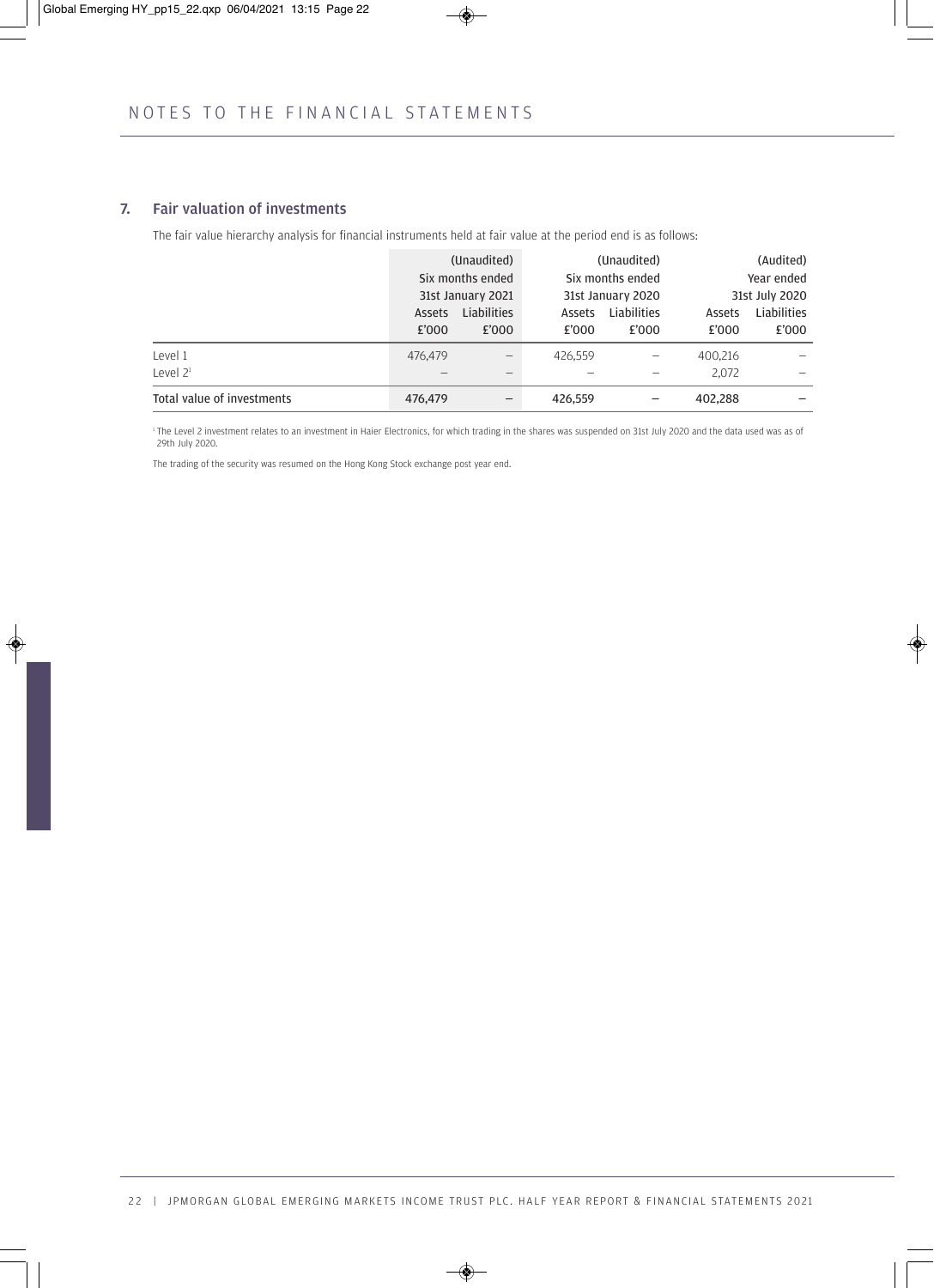# 7. Fair valuation of investments

The fair value hierarchy analysis for financial instruments held at fair value at the period end is as follows:

|                            | (Unaudited)       |                   | (Unaudited)      |                   | (Audited)  |                    |
|----------------------------|-------------------|-------------------|------------------|-------------------|------------|--------------------|
|                            | Six months ended  |                   | Six months ended |                   | Year ended |                    |
|                            | 31st January 2021 |                   |                  | 31st January 2020 |            | 31st July 2020     |
|                            | Assets            | Liabilities       | Assets           | Liabilities       | Assets     | <b>Liabilities</b> |
|                            | £'000             | £'000             | £'000            | £'000             | £'000      | £'000              |
| Level 1                    | 476.479           | -                 | 426,559          |                   | 400,216    |                    |
| Level $21$                 |                   | -                 |                  |                   | 2.072      |                    |
| Total value of investments | 476,479           | $\qquad \qquad -$ | 426,559          |                   | 402,288    |                    |

<sup>1</sup> The Level 2 investment relates to an investment in Haier Electronics, for which trading in the shares was suspended on 31st July 2020 and the data used was as of 29th July 2020.

The trading of the security was resumed on the Hong Kong Stock exchange post year end.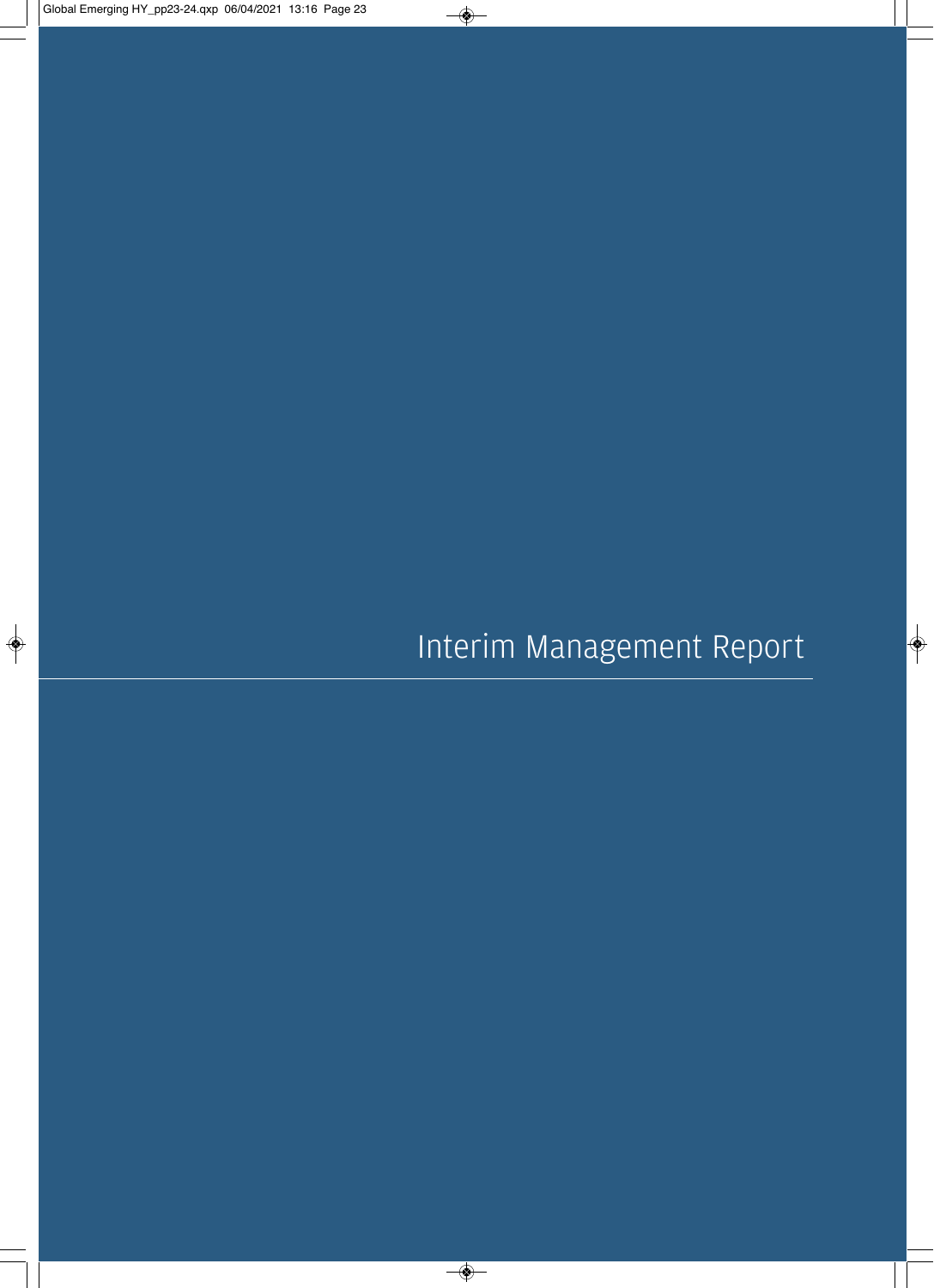Interim Management Report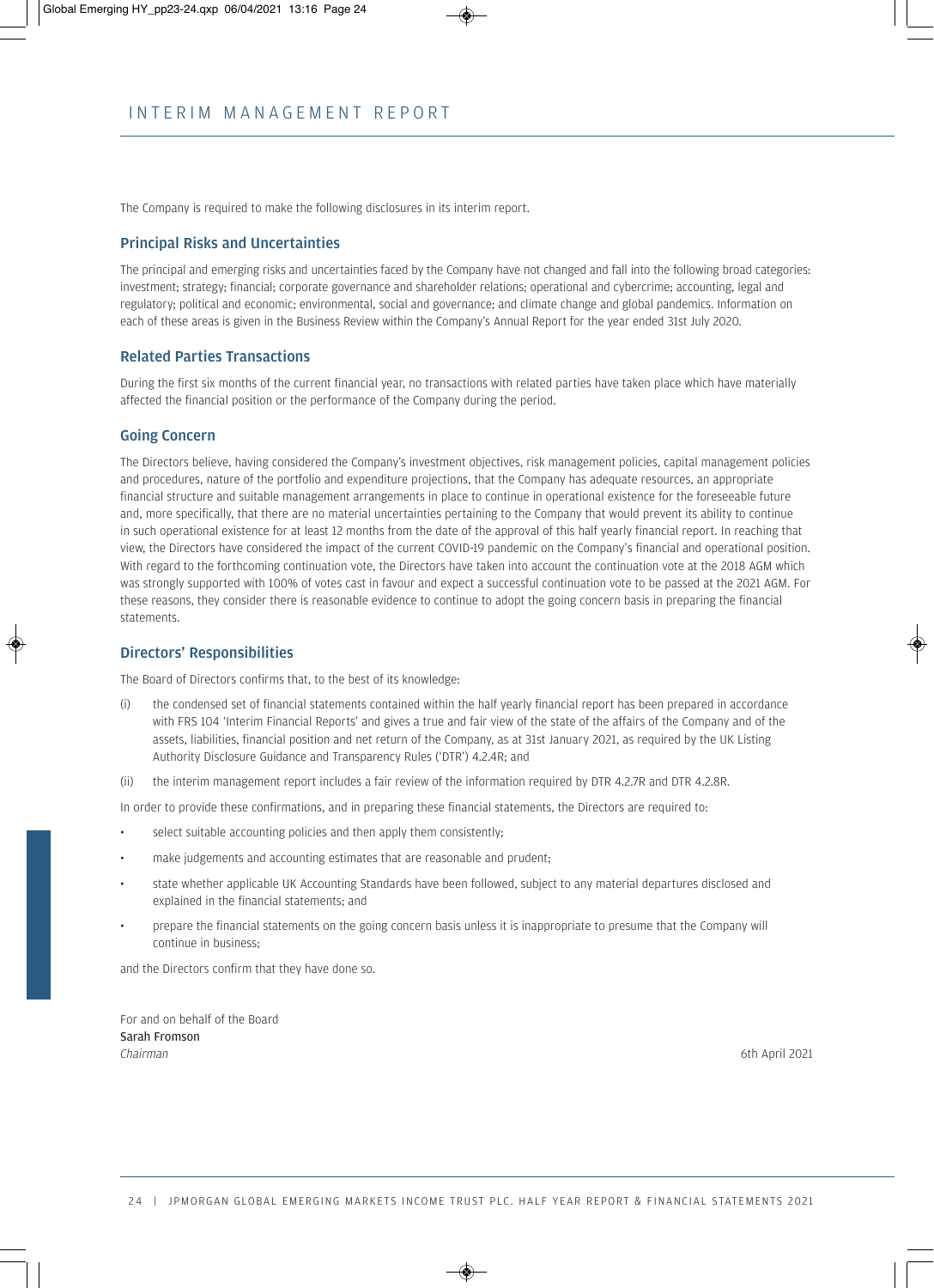The Company is required to make the following disclosures in its interim report.

### Principal Risks and Uncertainties

The principal and emerging risks and uncertainties faced by the Company have not changed and fall into the following broad categories: investment; strategy; financial; corporate governance and shareholder relations; operational and cybercrime; accounting, legal and regulatory; political and economic; environmental, social and governance; and climate change and global pandemics. Information on each of these areas is given in the Business Review within the Company's Annual Report for the year ended 31st July 2020.

#### Related Parties Transactions

During the first six months of the current financial year, no transactions with related parties have taken place which have materially affected the financial position or the performance of the Company during the period.

#### Going Concern

The Directors believe, having considered the Company's investment objectives, risk management policies, capital management policies and procedures, nature of the portfolio and expenditure projections, that the Company has adequate resources, an appropriate financial structure and suitable management arrangements in place to continue in operational existence for the foreseeable future and, more specifically, that there are no material uncertainties pertaining to the Company that would prevent its ability to continue in such operational existence for at least 12 months from the date of the approval of this half yearly financial report. In reaching that view, the Directors have considered the impact of the current COVID-19 pandemic on the Company's financial and operational position. With regard to the forthcoming continuation vote, the Directors have taken into account the continuation vote at the 2018 AGM which was strongly supported with 100% of votes cast in favour and expect a successful continuation vote to be passed at the 2021 AGM. For these reasons, they consider there is reasonable evidence to continue to adopt the going concern basis in preparing the financial statements.

#### Directors' Responsibilities

The Board of Directors confirms that, to the best of its knowledge:

- (i) the condensed set of financial statements contained within the half yearly financial report has been prepared in accordance with FRS 104 'Interim Financial Reports' and gives a true and fair view of the state of the affairs of the Company and of the assets, liabilities, financial position and net return of the Company, as at 31st January 2021, as required by the UK Listing Authority Disclosure Guidance and Transparency Rules ('DTR') 4.2.4R; and
- (ii) the interim management report includes a fair review of the information required by DTR 4.2.7R and DTR 4.2.8R.

In order to provide these confirmations, and in preparing these financial statements, the Directors are required to:

- select suitable accounting policies and then apply them consistently;
- make judgements and accounting estimates that are reasonable and prudent;
- state whether applicable UK Accounting Standards have been followed, subject to any material departures disclosed and explained in the financial statements; and
- prepare the financial statements on the going concern basis unless it is inappropriate to presume that the Company will continue in business;

and the Directors confirm that they have done so.

For and on behalf of the Board Sarah Fromson *Chairman* 6th April 2021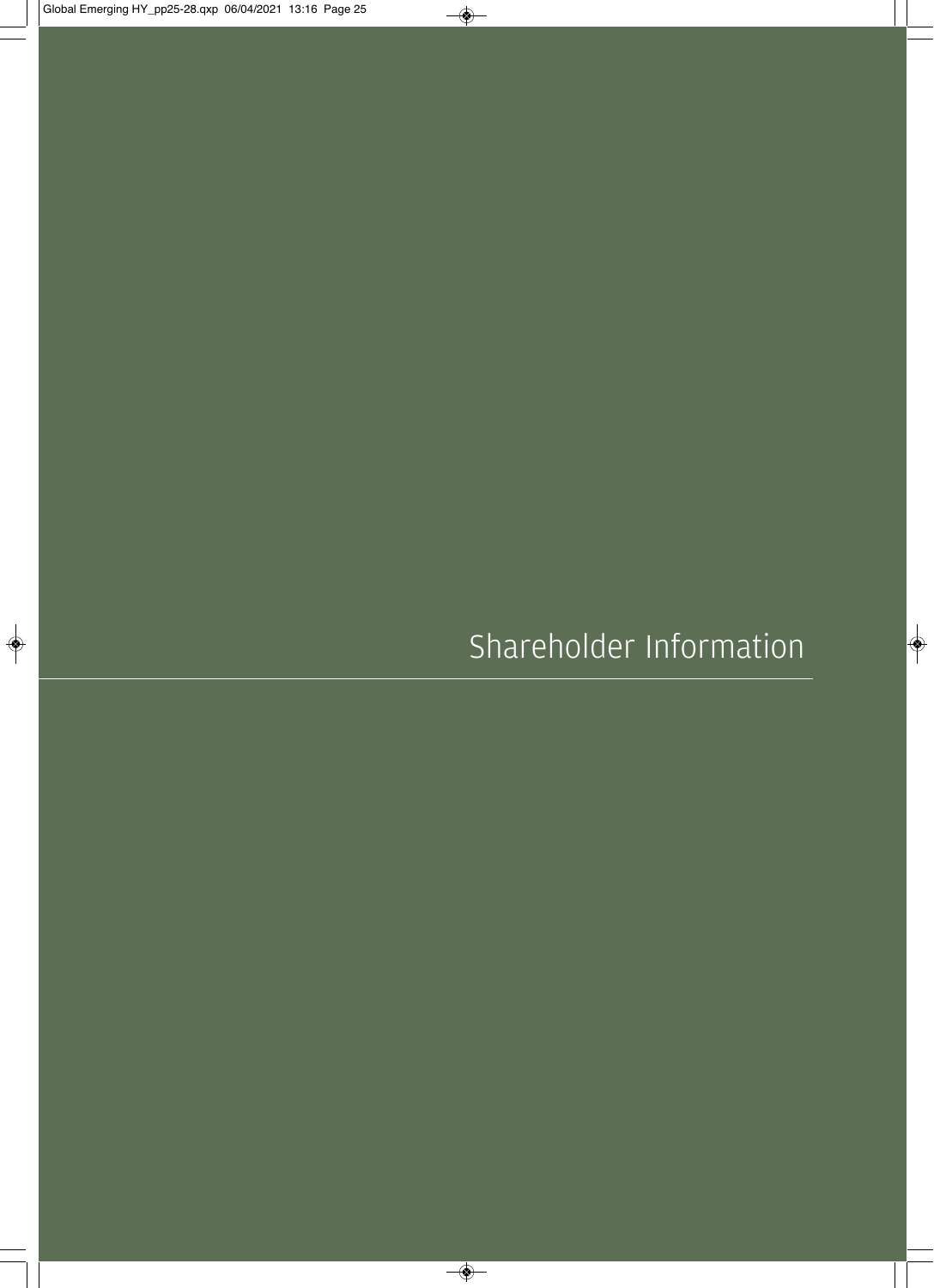Shareholder Information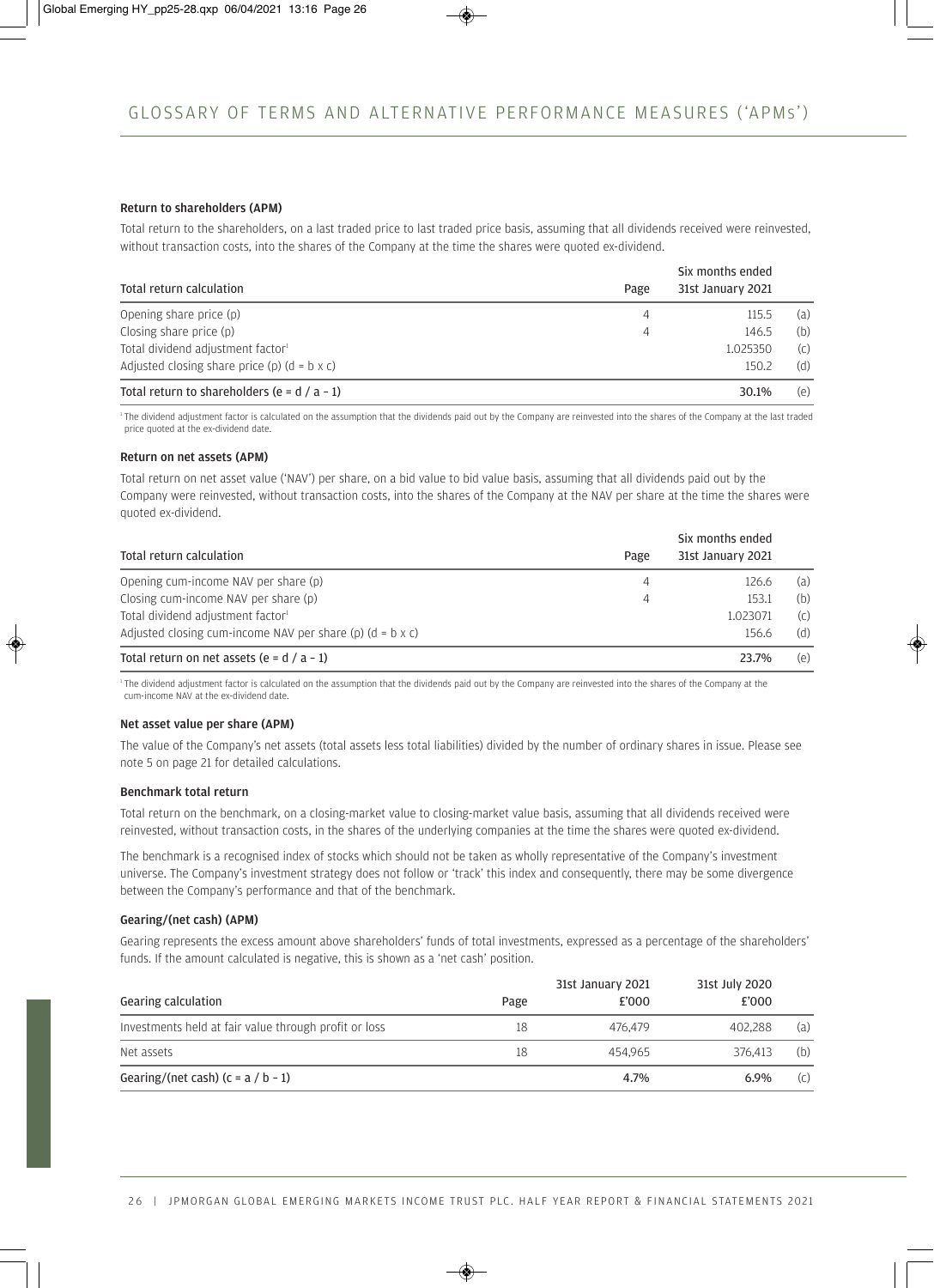#### Return to shareholders (APM)

Total return to the shareholders, on a last traded price to last traded price basis, assuming that all dividends received were reinvested, without transaction costs, into the shares of the Company at the time the shares were quoted ex-dividend.

| Total return calculation                            | Page | Six months ended<br>31st January 2021 |     |
|-----------------------------------------------------|------|---------------------------------------|-----|
| Opening share price (p)                             | 4    | 115.5                                 | (a) |
| Closing share price (p)                             | 4    | 146.5                                 | (b) |
| Total dividend adjustment factor <sup>1</sup>       |      | 1.025350                              | (C) |
| Adjusted closing share price (p) $(d = b \times c)$ |      | 150.2                                 | (d) |
| Total return to shareholders (e = $d / a - 1$ )     |      | 30.1%                                 | (e) |

<sup>1</sup> The dividend adjustment factor is calculated on the assumption that the dividends paid out by the Company are reinvested into the shares of the Company at the last traded price quoted at the ex-dividend date.

#### Return on net assets (APM)

Total return on net asset value ('NAV') per share, on a bid value to bid value basis, assuming that all dividends paid out by the Company were reinvested, without transaction costs, into the shares of the Company at the NAV per share at the time the shares were quoted ex-dividend.

| Total return calculation                                         | Page | Six months ended<br>31st January 2021 |     |
|------------------------------------------------------------------|------|---------------------------------------|-----|
| Opening cum-income NAV per share (p)                             | 4    | 126.6                                 | (a) |
| Closing cum-income NAV per share (p)                             | 4    | 153.1                                 | (b) |
| Total dividend adjustment factor <sup>1</sup>                    |      | 1.023071                              | (C) |
| Adjusted closing cum-income NAV per share (p) $(d = b \times c)$ |      | 156.6                                 | (d) |
| Total return on net assets (e = $d / a - 1$ )                    |      | 23.7%                                 | (e) |

<sup>1</sup> The dividend adjustment factor is calculated on the assumption that the dividends paid out by the Company are reinvested into the shares of the Company at the cum-income NAV at the ex-dividend date.

#### Net asset value per share (APM)

The value of the Company's net assets (total assets less total liabilities) divided by the number of ordinary shares in issue. Please see note 5 on page 21 for detailed calculations.

#### Benchmark total return

Total return on the benchmark, on a closing-market value to closing-market value basis, assuming that all dividends received were reinvested, without transaction costs, in the shares of the underlying companies at the time the shares were quoted ex-dividend.

The benchmark is a recognised index of stocks which should not be taken as wholly representative of the Company's investment universe. The Company's investment strategy does not follow or 'track' this index and consequently, there may be some divergence between the Company's performance and that of the benchmark.

#### Gearing/(net cash) (APM)

Gearing represents the excess amount above shareholders' funds of total investments, expressed as a percentage of the shareholders' funds. If the amount calculated is negative, this is shown as a 'net cash' position.

| Gearing calculation                                   | Page | 31st January 2021<br>£'000 | 31st July 2020<br>£'000 |     |
|-------------------------------------------------------|------|----------------------------|-------------------------|-----|
| Investments held at fair value through profit or loss | 18   | 476,479                    | 402.288                 | (a) |
| Net assets                                            | 18   | 454.965                    | 376.413                 | (b) |
| Gearing/(net cash) ( $c = a / b - 1$ )                |      | 4.7%                       | $6.9\%$                 | (C) |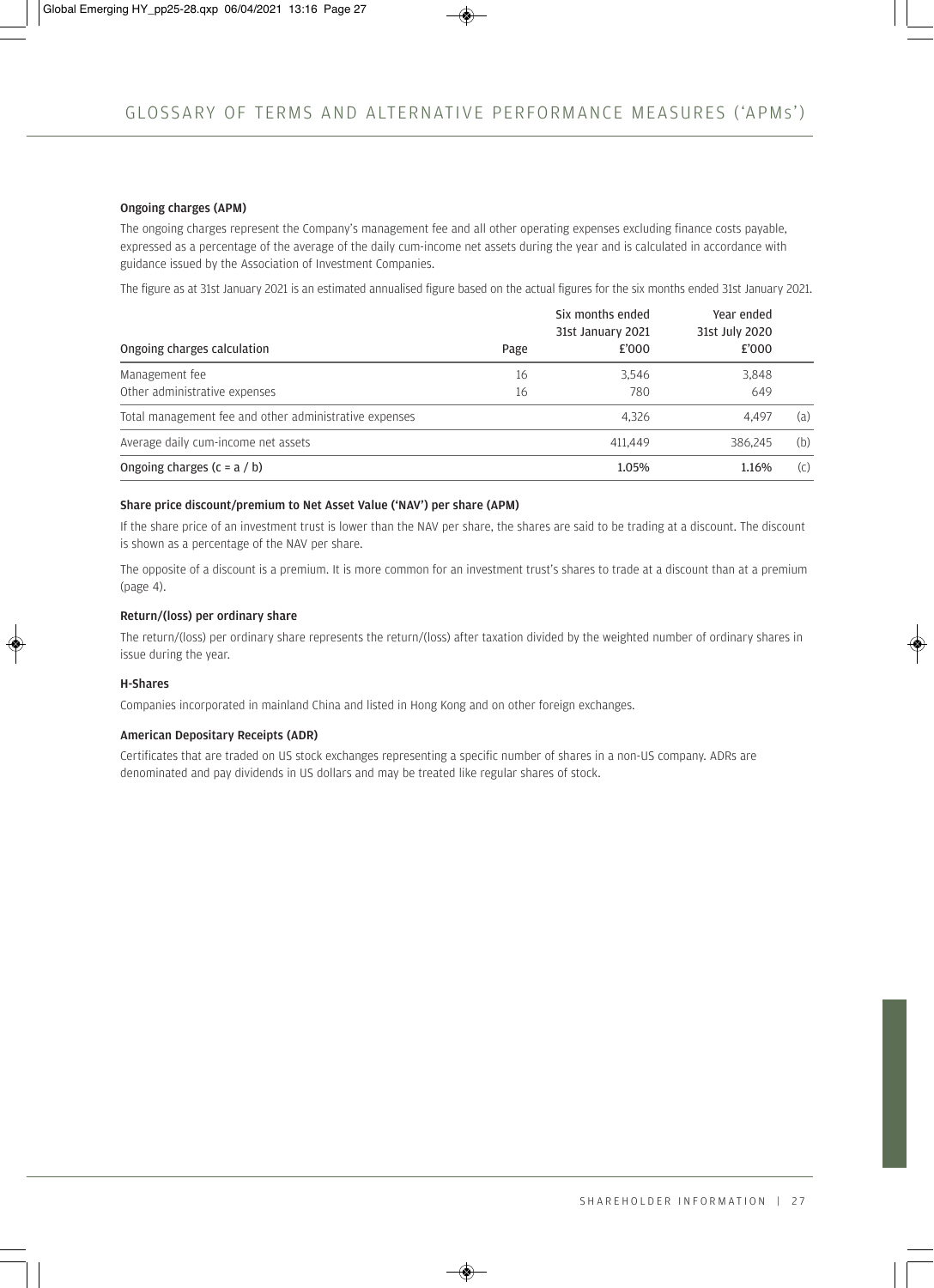#### Ongoing charges (APM)

The ongoing charges represent the Company's management fee and all other operating expenses excluding finance costs payable, expressed as a percentage of the average of the daily cum-income net assets during the year and is calculated in accordance with guidance issued by the Association of Investment Companies.

The figure as at 31st January 2021 is an estimated annualised figure based on the actual figures for the six months ended 31st January 2021.

| Ongoing charges calculation                            | Page | Six months ended<br>31st January 2021<br>£'000 | Year ended<br>31st July 2020<br>£'000 |     |
|--------------------------------------------------------|------|------------------------------------------------|---------------------------------------|-----|
| Management fee                                         | 16   | 3,546                                          | 3,848                                 |     |
| Other administrative expenses                          | 16   | 780                                            | 649                                   |     |
| Total management fee and other administrative expenses |      | 4.326                                          | 4.497                                 | (a) |
| Average daily cum-income net assets                    |      | 411.449                                        | 386.245                               | (b) |
| Ongoing charges $(c = a / b)$                          |      | 1.05%                                          | 1.16%                                 | (C) |

#### Share price discount/premium to Net Asset Value ('NAV') per share (APM)

If the share price of an investment trust is lower than the NAV per share, the shares are said to be trading at a discount. The discount is shown as a percentage of the NAV per share.

The opposite of a discount is a premium. It is more common for an investment trust's shares to trade at a discount than at a premium (page 4).

#### Return/(loss) per ordinary share

The return/(loss) per ordinary share represents the return/(loss) after taxation divided by the weighted number of ordinary shares in issue during the year.

#### H-Shares

Companies incorporated in mainland China and listed in Hong Kong and on other foreign exchanges.

#### American Depositary Receipts (ADR)

Certificates that are traded on US stock exchanges representing a specific number of shares in a non-US company. ADRs are denominated and pay dividends in US dollars and may be treated like regular shares of stock.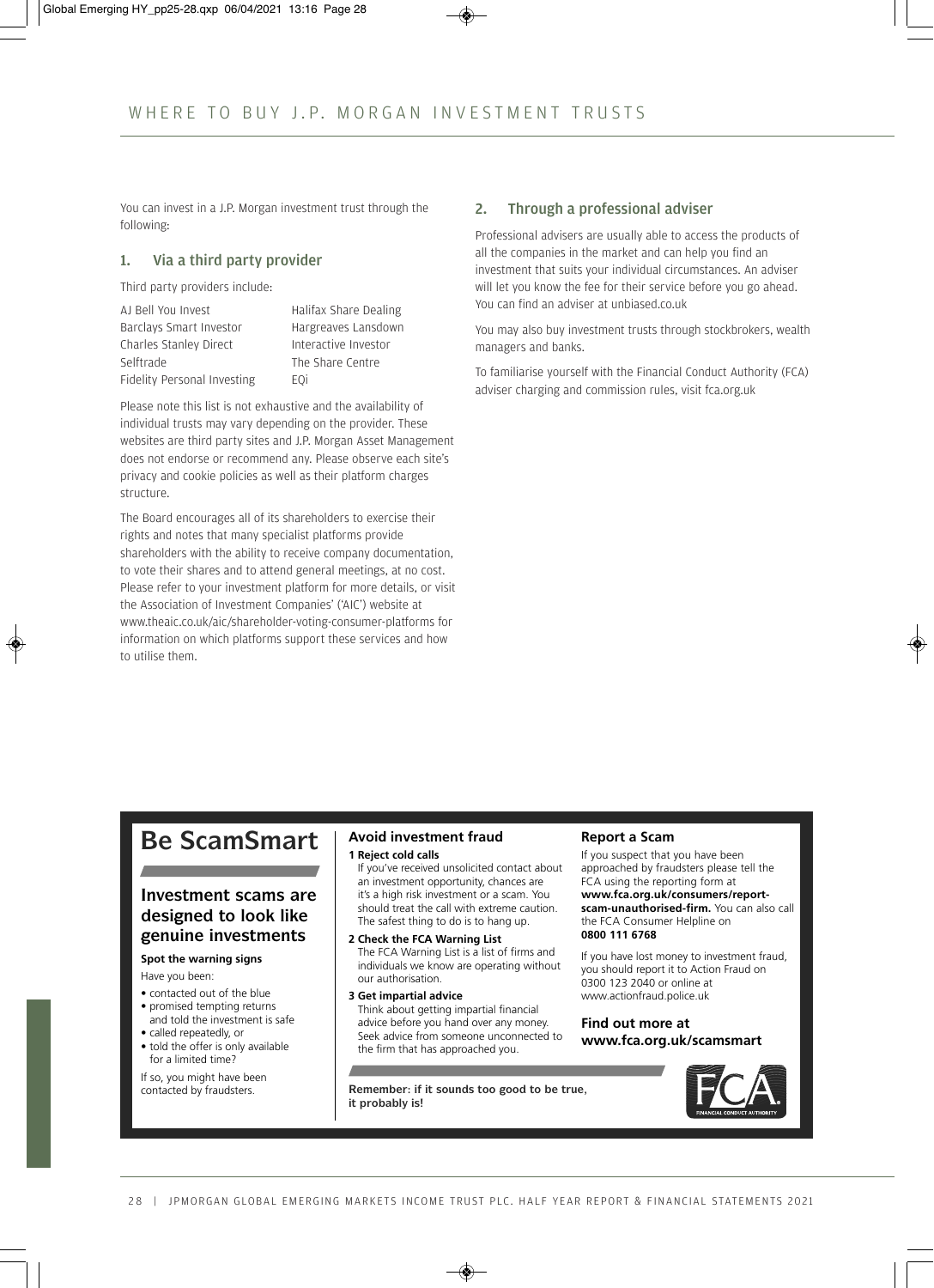You can invest in a J.P. Morgan investment trust through the following:

#### 1. Via a third party provider

Third party providers include:

AJ Bell You Invest Barclays Smart Investor Charles Stanley Direct Selftrade Fidelity Personal Investing Halifax Share Dealing Hargreaves Lansdown Interactive Investor The Share Centre EQi

Please note this list is not exhaustive and the availability of individual trusts may vary depending on the provider. These websites are third party sites and J.P. Morgan Asset Management does not endorse or recommend any. Please observe each site's privacy and cookie policies as well as their platform charges structure.

The Board encourages all of its shareholders to exercise their rights and notes that many specialist platforms provide shareholders with the ability to receive company documentation, to vote their shares and to attend general meetings, at no cost. Please refer to your investment platform for more details, or visit the Association of Investment Companies' ('AIC') website at www.theaic.co.uk/aic/shareholder-voting-consumer-platforms for information on which platforms support these services and how to utilise them.

### 2. Through a professional adviser

Professional advisers are usually able to access the products of all the companies in the market and can help you find an investment that suits your individual circumstances. An adviser will let you know the fee for their service before you go ahead. You can find an adviser at unbiased.co.uk

You may also buy investment trusts through stockbrokers, wealth managers and banks.

To familiarise yourself with the Financial Conduct Authority (FCA) adviser charging and commission rules, visit fca.org.uk

# **Be ScamSmart**

# **Investment scams are designed to look like genuine investments**

#### **Spot the warning signs**

Have you been:

- contacted out of the blue
- promised tempting returns and told the investment is safe
- called repeatedly, or
- told the offer is only available
- for a limited time?

If so, you might have been<br>contacted by fraudsters.

#### **Avoid investment fraud**

- **1 Reject cold calls** 
	- If you've received unsolicited contact about an investment opportunity, chances are it's a high risk investment or a scam. You should treat the call with extreme caution. The safest thing to do is to hang up.
- **2 Check the FCA Warning List**  The FCA Warning List is a list of firms and individuals we know are operating without our authorisation.
- **3 Get impartial advice**  Think about getting impartial financial advice before you hand over any money. Seek advice from someone unconnected to the firm that has approached you.

Remember: if it sounds too good to be true, **it probably is!**

#### **Report a Scam**

If you suspect that you have been approached by fraudsters please tell the FCA using the reporting form at **www.fca.org.uk/consumers/reportscam-unauthorised-firm.** You can also call the FCA Consumer Helpline on **0800 111 6768**

If you have lost money to investment fraud, you should report it to Action Fraud on 0300 123 2040 or online at www.actionfraud.police.uk

# **Find out more at www.fca.org.uk/scamsmart**

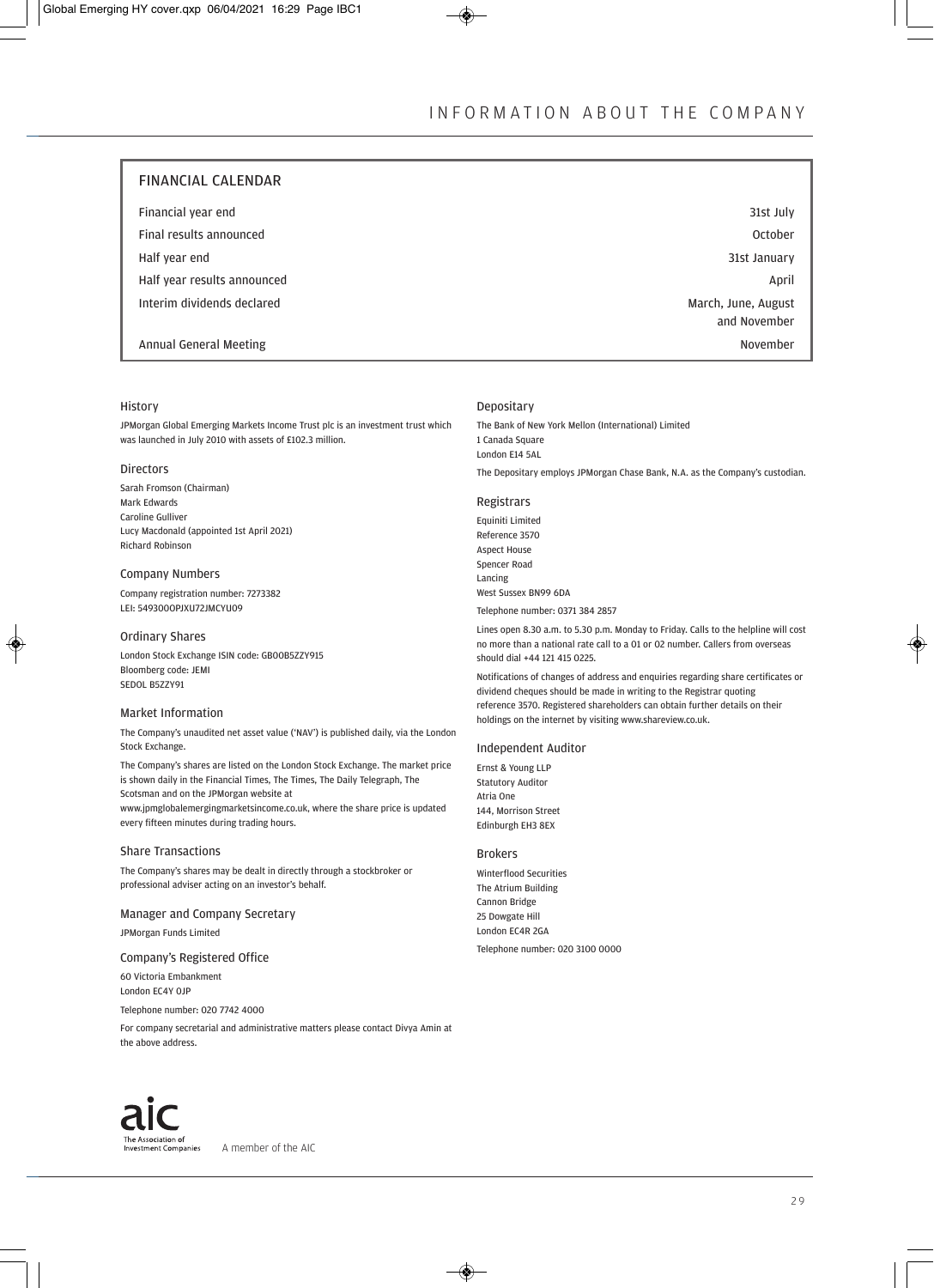### FINANCIAL CALENDAR

| Financial year end          | 31st July                           |
|-----------------------------|-------------------------------------|
| Final results announced     | October                             |
| Half year end               | 31st January                        |
| Half year results announced | April                               |
| Interim dividends declared  | March, June, August<br>and November |
| Annual General Meeting      | November                            |

#### History

JPMorgan Global Emerging Markets Income Trust plc is an investment trust which was launched in July 2010 with assets of £102.3 million.

#### Directors

Sarah Fromson (Chairman) Mark Edwards Caroline Gulliver Lucy Macdonald (appointed 1st April 2021) Richard Robinson

#### Company Numbers

Company registration number: 7273382 LEI: 549300OPJXU72JMCYU09

#### Ordinary Shares

London Stock Exchange ISIN code: GB00B5ZZY915 Bloomberg code: JEMI SEDOL B5ZZY91

#### Market Information

The Company's unaudited net asset value ('NAV') is published daily, via the London Stock Exchange.

The Company's shares are listed on the London Stock Exchange. The market price is shown daily in the Financial Times, The Times, The Daily Telegraph, The Scotsman and on the JPMorgan website at www.jpmglobalemergingmarketsincome.co.uk, where the share price is updated

every fifteen minutes during trading hours.

#### Share Transactions

The Company's shares may be dealt in directly through a stockbroker or professional adviser acting on an investor's behalf.

#### Manager and Company Secretary

JPMorgan Funds Limited

#### Company's Registered Office

60 Victoria Embankment London EC4Y 0JP

#### Telephone number: 020 7742 4000

For company secretarial and administrative matters please contact Divya Amin at the above address.

#### Depositary

The Bank of New York Mellon (International) Limited 1 Canada Square London E14 5AL The Depositary employs JPMorgan Chase Bank, N.A. as the Company's custodian.

#### Registrars

Equiniti Limited Reference 3570 Aspect House Spencer Road Lancing West Sussex BN99 6DA Telephone number: 0371 384 2857

Lines open 8.30 a.m. to 5.30 p.m. Monday to Friday. Calls to the helpline will cost no more than a national rate call to a 01 or 02 number. Callers from overseas should dial +44 121 415 0225.

Notifications of changes of address and enquiries regarding share certificates or dividend cheques should be made in writing to the Registrar quoting reference 3570. Registered shareholders can obtain further details on their holdings on the internet by visiting www.shareview.co.uk.

#### Independent Auditor

Ernst & Young LLP Statutory Auditor Atria One 144, Morrison Street Edinburgh EH3 8EX

#### Brokers

Winterflood Securities The Atrium Building Cannon Bridge 25 Dowgate Hill London EC4R 2GA Telephone number: 020 3100 0000



A member of the AIC